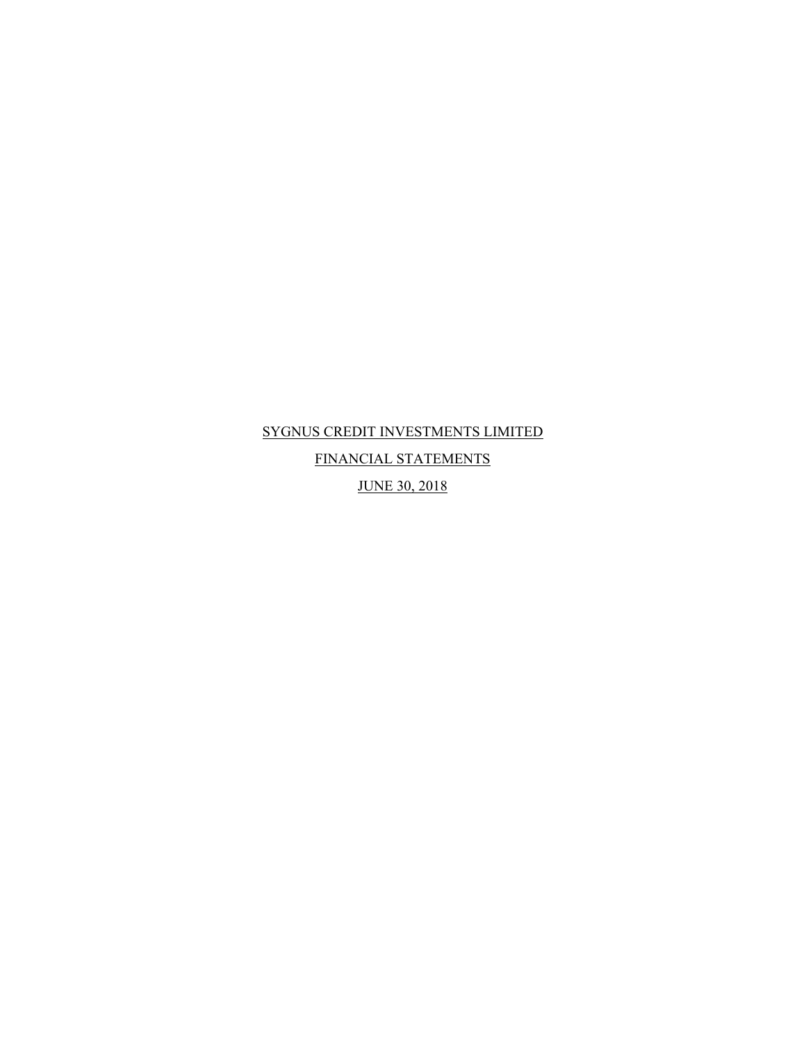SYGNUS CREDIT INVESTMENTS LIMITED FINANCIAL STATEMENTS JUNE 30, 2018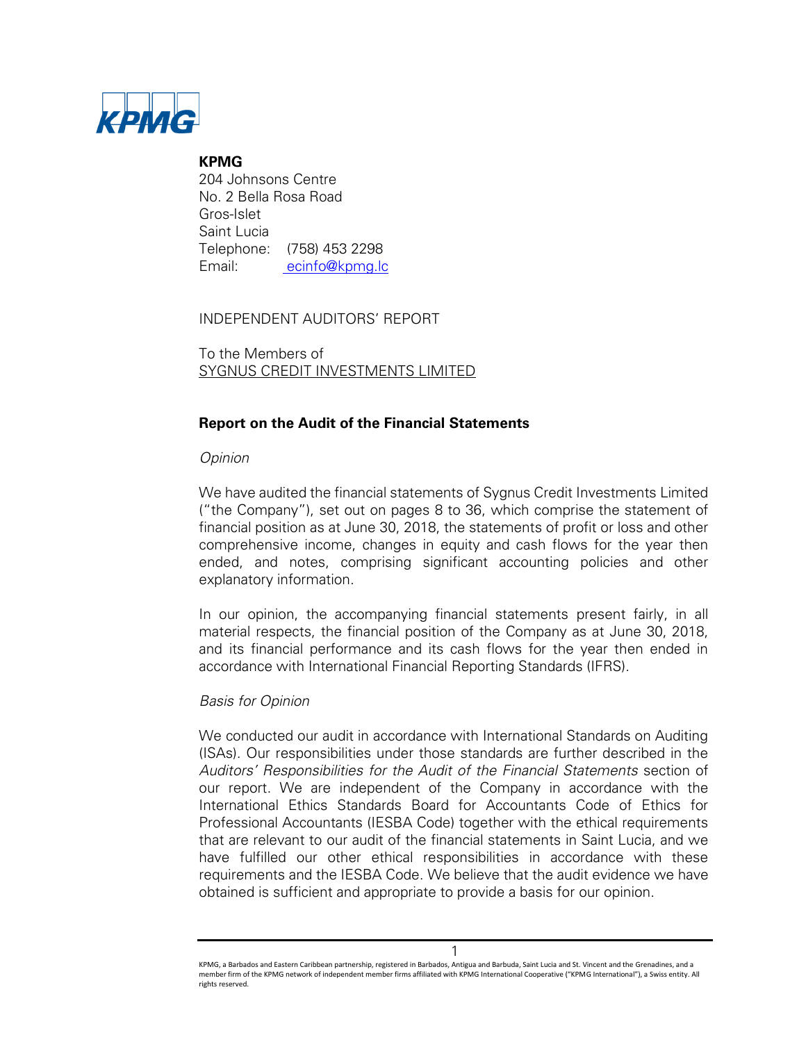

# **KPMG**

204 Johnsons Centre No. 2 Bella Rosa Road Gros-Islet Saint Lucia Telephone: (758) 453 2298 Email: ecinfo@kpmg.lc

INDEPENDENT AUDITORS' REPORT

To the Members of SYGNUS CREDIT INVESTMENTS LIMITED

# **Report on the Audit of the Financial Statements**

# *Opinion*

We have audited the financial statements of Sygnus Credit Investments Limited ("the Company"), set out on pages 8 to 36, which comprise the statement of financial position as at June 30, 2018, the statements of profit or loss and other comprehensive income, changes in equity and cash flows for the year then ended, and notes, comprising significant accounting policies and other explanatory information.

In our opinion, the accompanying financial statements present fairly, in all material respects, the financial position of the Company as at June 30, 2018, and its financial performance and its cash flows for the year then ended in accordance with International Financial Reporting Standards (IFRS).

# *Basis for Opinion*

We conducted our audit in accordance with International Standards on Auditing (ISAs). Our responsibilities under those standards are further described in the *Auditors' Responsibilities for the Audit of the Financial Statements* section of our report. We are independent of the Company in accordance with the International Ethics Standards Board for Accountants Code of Ethics for Professional Accountants (IESBA Code) together with the ethical requirements that are relevant to our audit of the financial statements in Saint Lucia, and we have fulfilled our other ethical responsibilities in accordance with these requirements and the IESBA Code. We believe that the audit evidence we have obtained is sufficient and appropriate to provide a basis for our opinion.

KPMG, a Barbados and Eastern Caribbean partnership, registered in Barbados, Antigua and Barbuda, Saint Lucia and St. Vincent and the Grenadines, and a member firm of the KPMG network of independent member firms affiliated with KPMG International Cooperative ("KPMG International"), a Swiss entity. All rights reserved.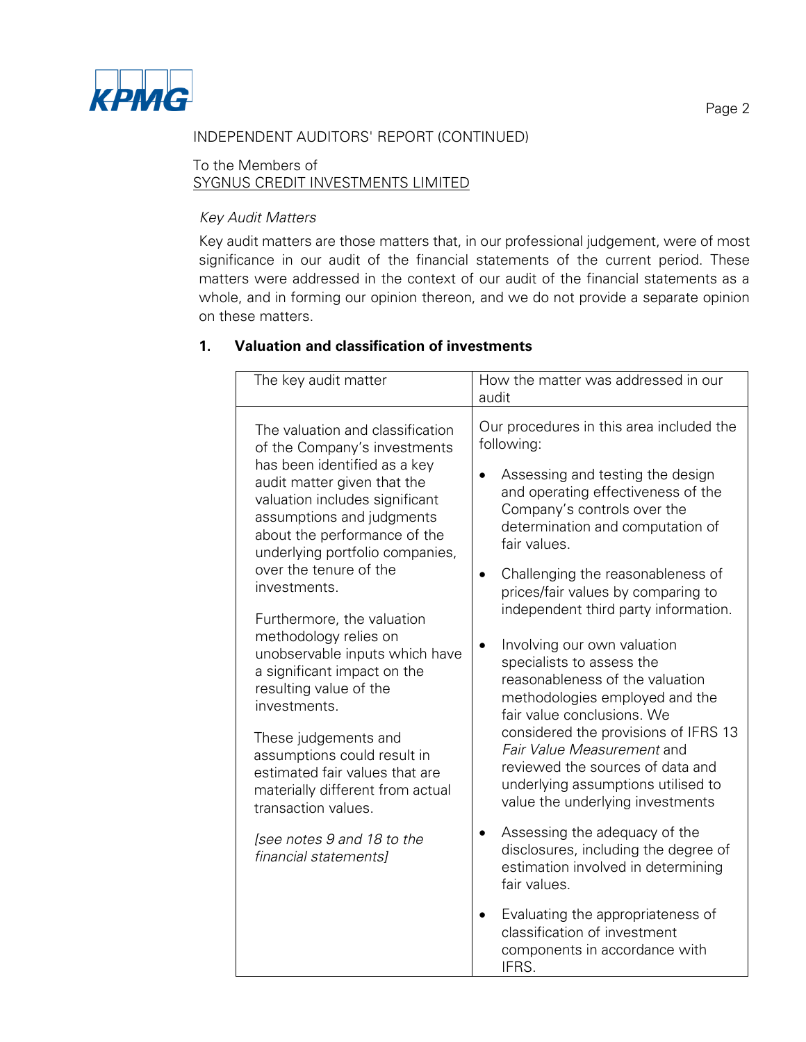

# To the Members of SYGNUS CREDIT INVESTMENTS LIMITED

# *Key Audit Matters*

Key audit matters are those matters that, in our professional judgement, were of most significance in our audit of the financial statements of the current period. These matters were addressed in the context of our audit of the financial statements as a whole, and in forming our opinion thereon, and we do not provide a separate opinion on these matters.

# **1. Valuation and classification of investments**

| The key audit matter                                                                                                                                                                                                                                                                                                                                                                                                                                                                                                                                                                                                                                                                     | How the matter was addressed in our<br>audit                                                                                                                                                                                                                                                                                                                                                                                                                                                                                                                                                                                                                                                                                                                                                                                                                                                                                   |
|------------------------------------------------------------------------------------------------------------------------------------------------------------------------------------------------------------------------------------------------------------------------------------------------------------------------------------------------------------------------------------------------------------------------------------------------------------------------------------------------------------------------------------------------------------------------------------------------------------------------------------------------------------------------------------------|--------------------------------------------------------------------------------------------------------------------------------------------------------------------------------------------------------------------------------------------------------------------------------------------------------------------------------------------------------------------------------------------------------------------------------------------------------------------------------------------------------------------------------------------------------------------------------------------------------------------------------------------------------------------------------------------------------------------------------------------------------------------------------------------------------------------------------------------------------------------------------------------------------------------------------|
| The valuation and classification<br>of the Company's investments<br>has been identified as a key<br>audit matter given that the<br>valuation includes significant<br>assumptions and judgments<br>about the performance of the<br>underlying portfolio companies,<br>over the tenure of the<br>investments.<br>Furthermore, the valuation<br>methodology relies on<br>unobservable inputs which have<br>a significant impact on the<br>resulting value of the<br>investments.<br>These judgements and<br>assumptions could result in<br>estimated fair values that are<br>materially different from actual<br>transaction values.<br>Isee notes 9 and 18 to the<br>financial statements] | Our procedures in this area included the<br>following:<br>Assessing and testing the design<br>and operating effectiveness of the<br>Company's controls over the<br>determination and computation of<br>fair values.<br>Challenging the reasonableness of<br>prices/fair values by comparing to<br>independent third party information.<br>Involving our own valuation<br>specialists to assess the<br>reasonableness of the valuation<br>methodologies employed and the<br>fair value conclusions. We<br>considered the provisions of IFRS 13<br>Fair Value Measurement and<br>reviewed the sources of data and<br>underlying assumptions utilised to<br>value the underlying investments<br>Assessing the adequacy of the<br>disclosures, including the degree of<br>estimation involved in determining<br>fair values.<br>Evaluating the appropriateness of<br>classification of investment<br>components in accordance with |
|                                                                                                                                                                                                                                                                                                                                                                                                                                                                                                                                                                                                                                                                                          | IFRS.                                                                                                                                                                                                                                                                                                                                                                                                                                                                                                                                                                                                                                                                                                                                                                                                                                                                                                                          |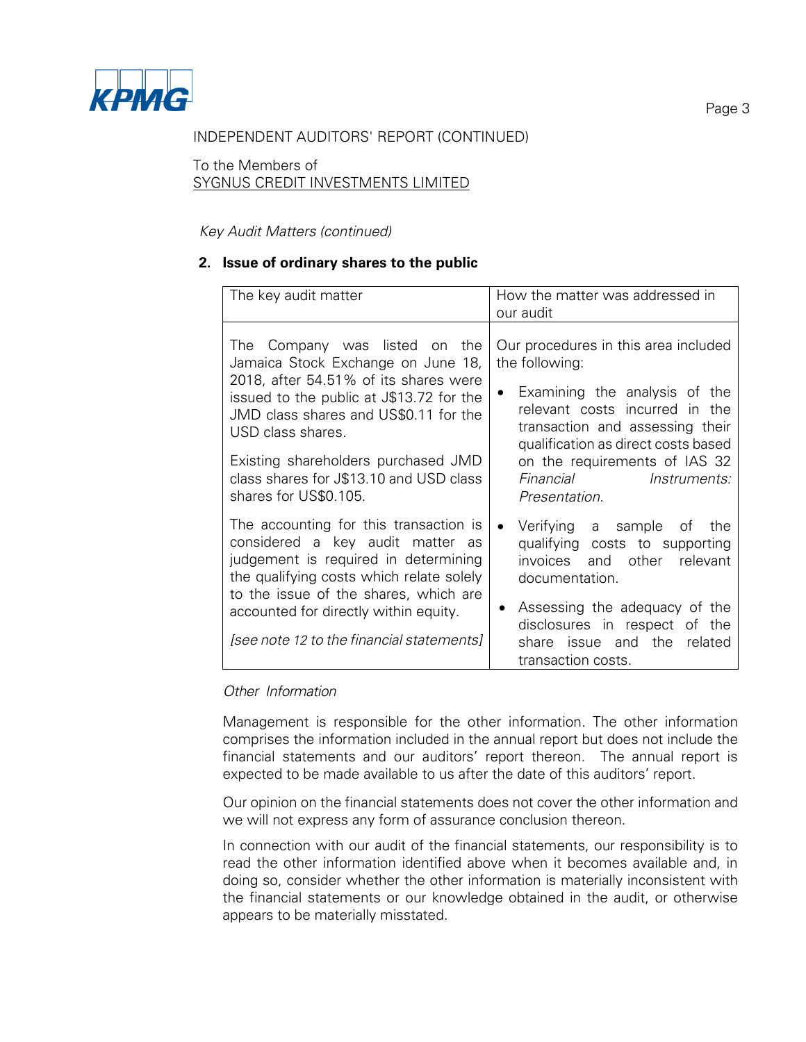

# To the Members of SYGNUS CREDIT INVESTMENTS LIMITED

# *Key Audit Matters (continued)*

# **2. Issue of ordinary shares to the public**

| The key audit matter                                                                                                                                                                                                                                                                                                                    | How the matter was addressed in<br>our audit                                                                                                                                                                                                                                       |
|-----------------------------------------------------------------------------------------------------------------------------------------------------------------------------------------------------------------------------------------------------------------------------------------------------------------------------------------|------------------------------------------------------------------------------------------------------------------------------------------------------------------------------------------------------------------------------------------------------------------------------------|
| Company was listed on<br>The<br>the<br>Jamaica Stock Exchange on June 18,<br>2018, after 54.51% of its shares were<br>issued to the public at J\$13.72 for the<br>JMD class shares and US\$0.11 for the<br>USD class shares.<br>Existing shareholders purchased JMD<br>class shares for J\$13.10 and USD class<br>shares for US\$0.105. | Our procedures in this area included<br>the following:<br>Examining the analysis of the<br>relevant costs incurred in the<br>transaction and assessing their<br>qualification as direct costs based<br>on the requirements of IAS 32<br>Financial<br>Instruments:<br>Presentation. |
| The accounting for this transaction is<br>considered a key audit matter as<br>judgement is required in determining<br>the qualifying costs which relate solely<br>to the issue of the shares, which are<br>accounted for directly within equity.<br>[see note 12 to the financial statements]                                           | Verifying a sample<br>оf<br>the<br>$\bullet$<br>qualifying costs to supporting<br>invoices and other relevant<br>documentation.<br>Assessing the adequacy of the<br>٠<br>disclosures in respect of the<br>share issue and the related<br>transaction costs.                        |

# *Other Information*

Management is responsible for the other information. The other information comprises the information included in the annual report but does not include the financial statements and our auditors' report thereon. The annual report is expected to be made available to us after the date of this auditors' report.

Our opinion on the financial statements does not cover the other information and we will not express any form of assurance conclusion thereon.

In connection with our audit of the financial statements, our responsibility is to read the other information identified above when it becomes available and, in doing so, consider whether the other information is materially inconsistent with the financial statements or our knowledge obtained in the audit, or otherwise appears to be materially misstated.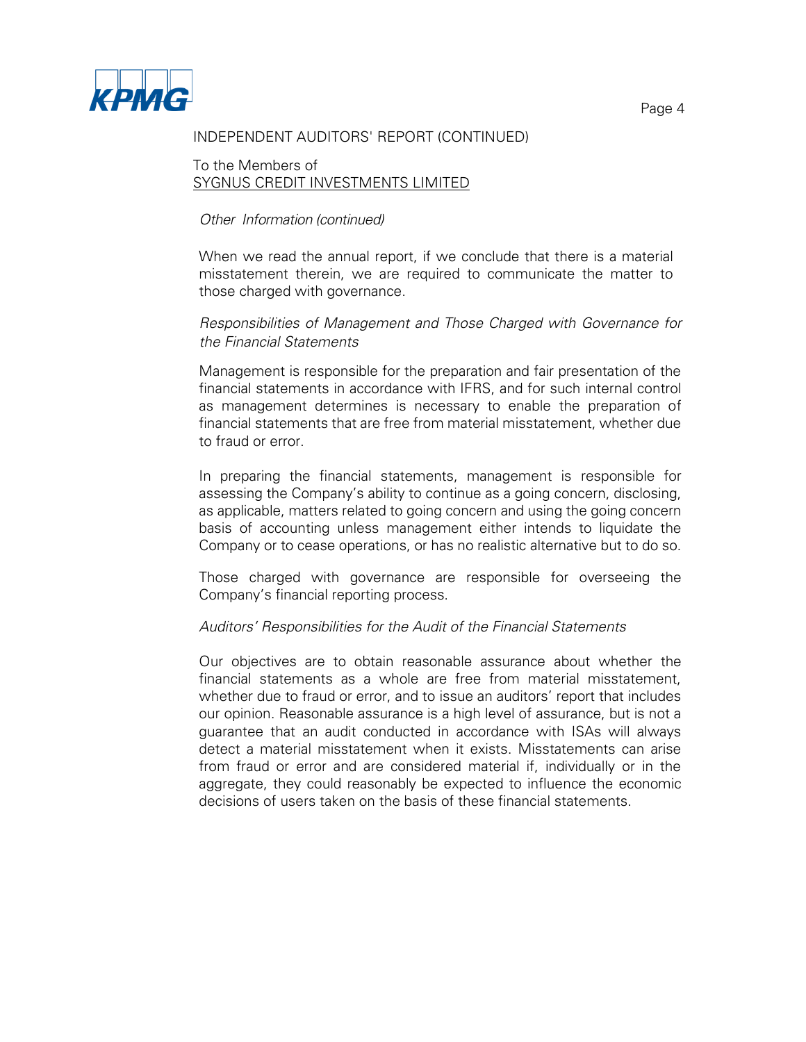

# To the Members of SYGNUS CREDIT INVESTMENTS LIMITED

# *Other Information (continued)*

When we read the annual report, if we conclude that there is a material misstatement therein, we are required to communicate the matter to those charged with governance.

# *Responsibilities of Management and Those Charged with Governance for the Financial Statements*

Management is responsible for the preparation and fair presentation of the financial statements in accordance with IFRS, and for such internal control as management determines is necessary to enable the preparation of financial statements that are free from material misstatement, whether due to fraud or error.

In preparing the financial statements, management is responsible for assessing the Company's ability to continue as a going concern, disclosing, as applicable, matters related to going concern and using the going concern basis of accounting unless management either intends to liquidate the Company or to cease operations, or has no realistic alternative but to do so.

Those charged with governance are responsible for overseeing the Company's financial reporting process.

# Auditors' Responsibilities for the Audit of the Financial Statements

Our objectives are to obtain reasonable assurance about whether the financial statements as a whole are free from material misstatement, whether due to fraud or error, and to issue an auditors' report that includes our opinion. Reasonable assurance is a high level of assurance, but is not a guarantee that an audit conducted in accordance with ISAs will always detect a material misstatement when it exists. Misstatements can arise from fraud or error and are considered material if, individually or in the aggregate, they could reasonably be expected to influence the economic decisions of users taken on the basis of these financial statements.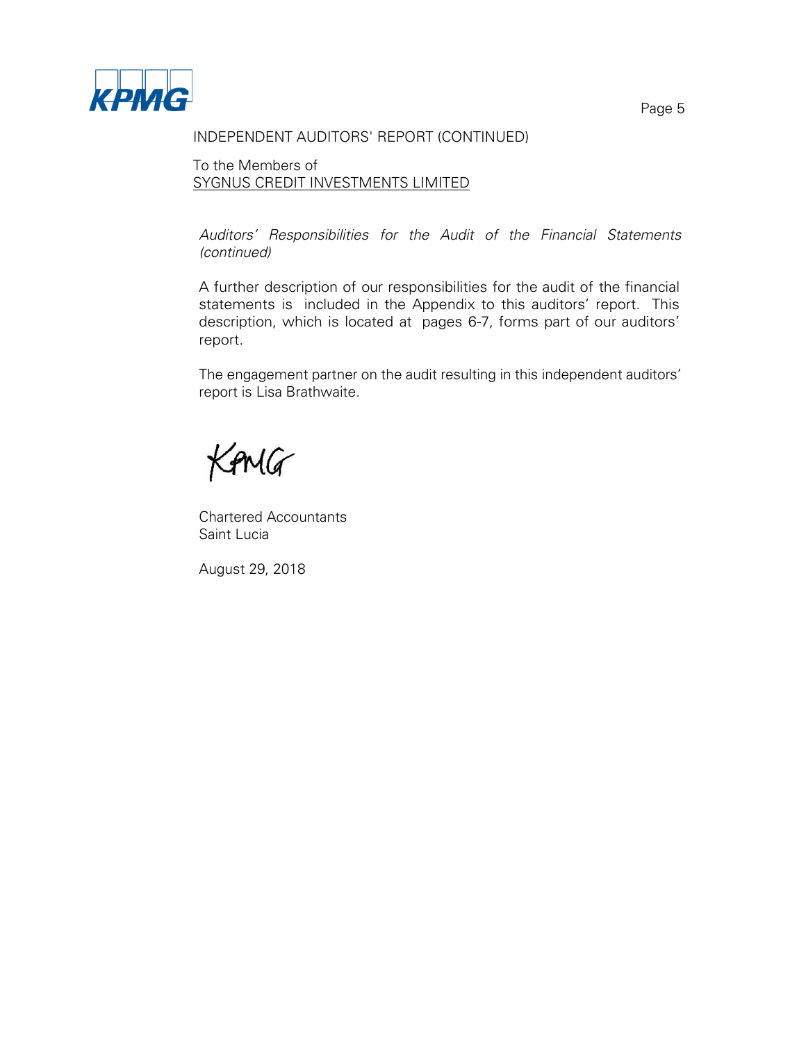

Page 5

# INDEPENDENT AUDITORS' REPORT (CONTINUED)

To the Members of SYGNUS CREDIT INVESTMENTS LIMITED

Auditors' *Responsibilities for the Audit of the Financial Statements (continued)*

A further description of our responsibilities for the audit of the financial statements is included in the Appendix to this auditors' report. This description, which is located at pages 6-7, forms part of our auditors' report.

The engagement partner on the audit resulting in this independent auditors' report is Lisa Brathwaite.

KAMG

Chartered Accountants Saint Lucia

August 29, 2018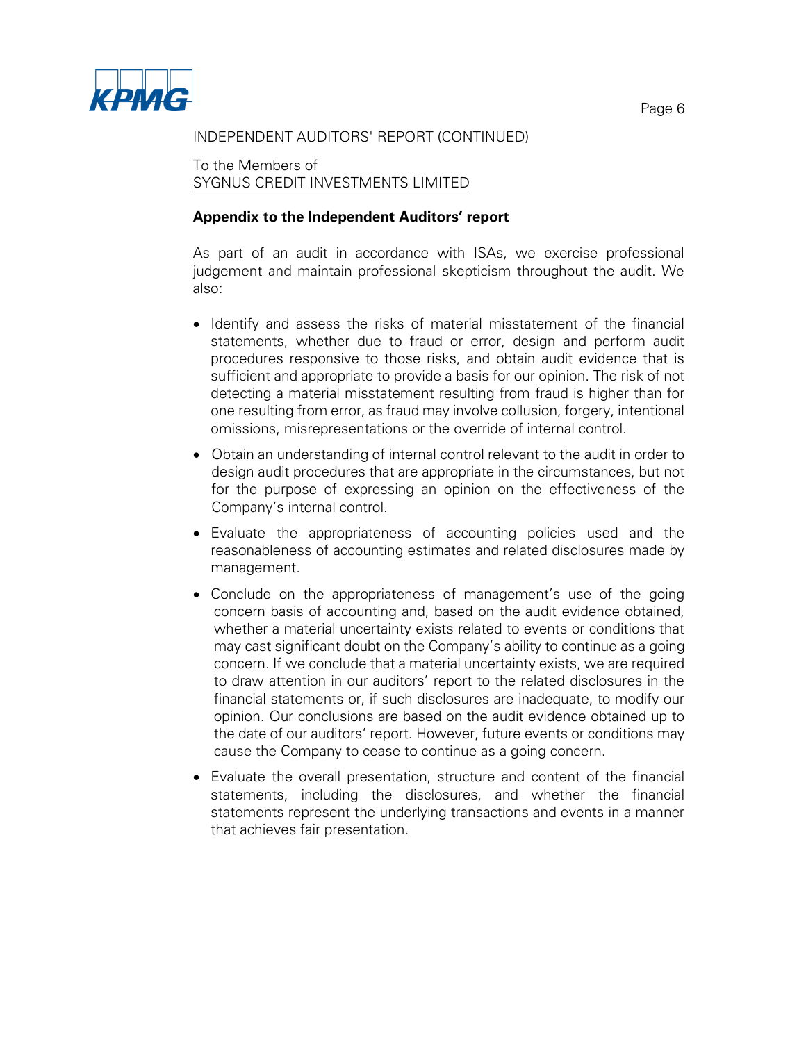

To the Members of SYGNUS CREDIT INVESTMENTS LIMITED

# **Appendix to the Independent Auditors' report**

As part of an audit in accordance with ISAs, we exercise professional judgement and maintain professional skepticism throughout the audit. We also:

- Identify and assess the risks of material misstatement of the financial statements, whether due to fraud or error, design and perform audit procedures responsive to those risks, and obtain audit evidence that is sufficient and appropriate to provide a basis for our opinion. The risk of not detecting a material misstatement resulting from fraud is higher than for one resulting from error, as fraud may involve collusion, forgery, intentional omissions, misrepresentations or the override of internal control.
- Obtain an understanding of internal control relevant to the audit in order to design audit procedures that are appropriate in the circumstances, but not for the purpose of expressing an opinion on the effectiveness of the Company's internal control.
- Evaluate the appropriateness of accounting policies used and the reasonableness of accounting estimates and related disclosures made by management.
- Conclude on the appropriateness of management's use of the going concern basis of accounting and, based on the audit evidence obtained, whether a material uncertainty exists related to events or conditions that may cast significant doubt on the Company's ability to continue as a going concern. If we conclude that a material uncertainty exists, we are required to draw attention in our auditors' report to the related disclosures in the financial statements or, if such disclosures are inadequate, to modify our opinion. Our conclusions are based on the audit evidence obtained up to the date of our auditors' report. However, future events or conditions may cause the Company to cease to continue as a going concern.
- Evaluate the overall presentation, structure and content of the financial statements, including the disclosures, and whether the financial statements represent the underlying transactions and events in a manner that achieves fair presentation.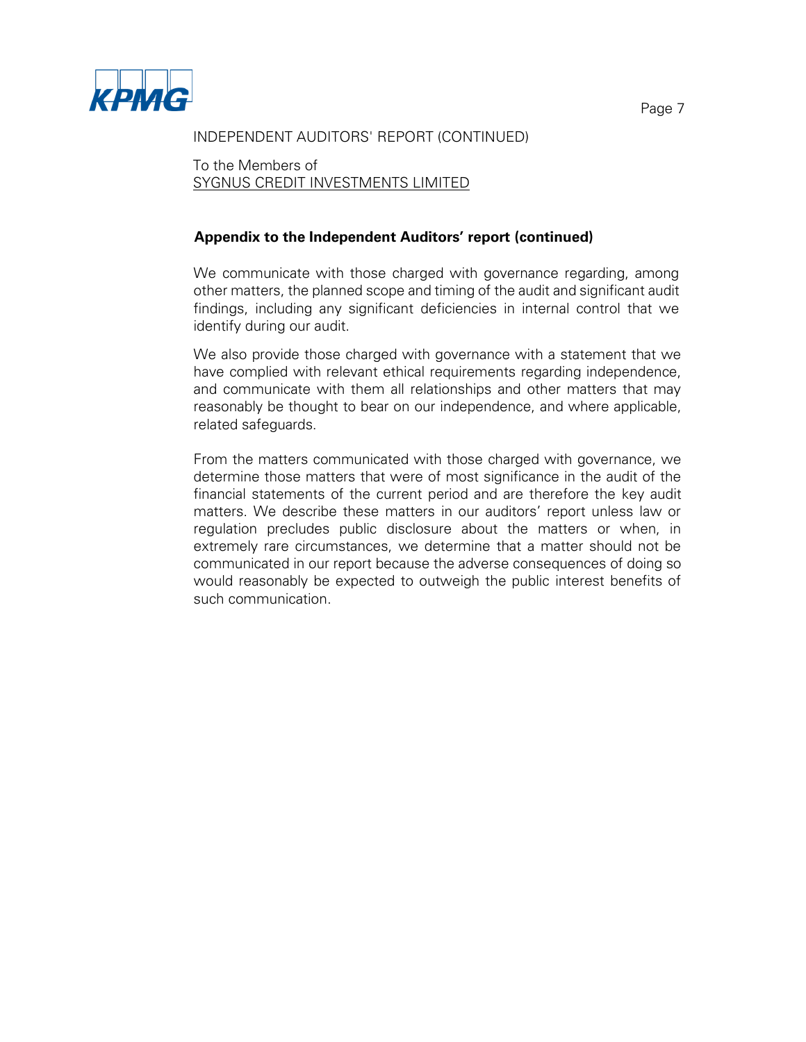

To the Members of SYGNUS CREDIT INVESTMENTS LIMITED

# **Appendix to the Independent Auditors' report (continued)**

We communicate with those charged with governance regarding, among other matters, the planned scope and timing of the audit and significant audit findings, including any significant deficiencies in internal control that we identify during our audit.

We also provide those charged with governance with a statement that we have complied with relevant ethical requirements regarding independence, and communicate with them all relationships and other matters that may reasonably be thought to bear on our independence, and where applicable, related safeguards.

From the matters communicated with those charged with governance, we determine those matters that were of most significance in the audit of the financial statements of the current period and are therefore the key audit matters. We describe these matters in our auditors' report unless law or regulation precludes public disclosure about the matters or when, in extremely rare circumstances, we determine that a matter should not be communicated in our report because the adverse consequences of doing so would reasonably be expected to outweigh the public interest benefits of such communication.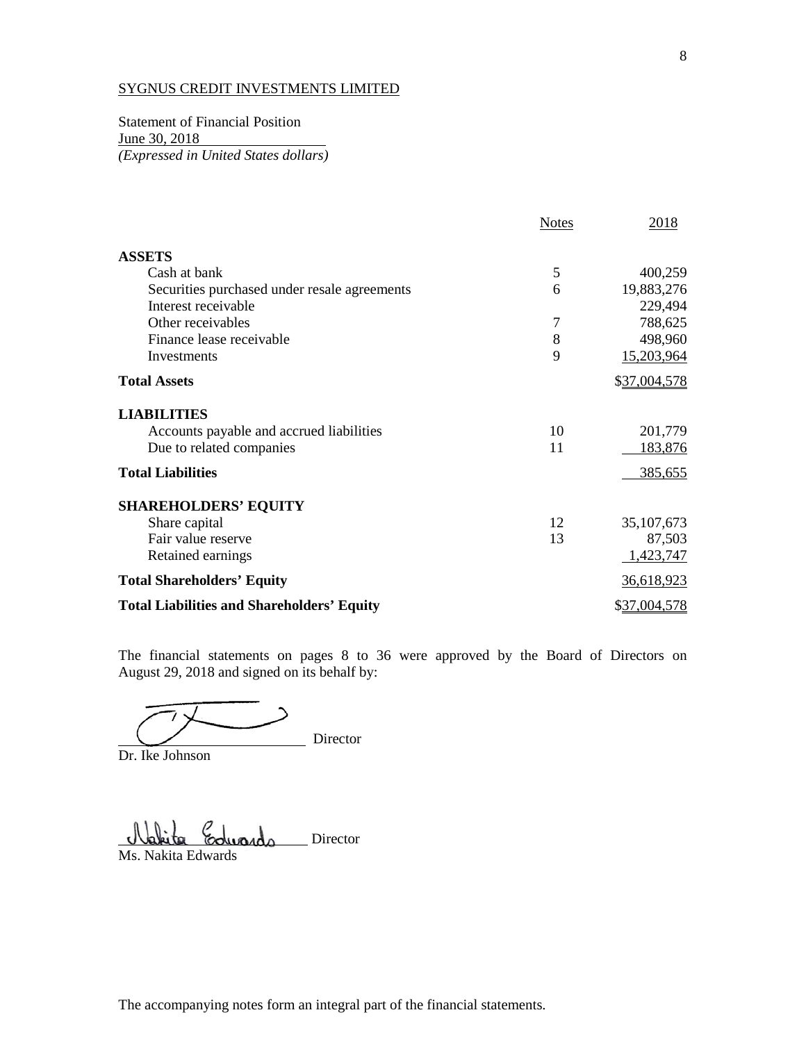Statement of Financial Position June 30, 2018 *(Expressed in United States dollars)*

|                                                   | <b>Notes</b> | 2018              |
|---------------------------------------------------|--------------|-------------------|
| <b>ASSETS</b>                                     |              |                   |
| Cash at bank                                      | 5            | 400,259           |
| Securities purchased under resale agreements      | 6            | 19,883,276        |
| Interest receivable                               |              | 229,494           |
| Other receivables                                 | 7            | 788,625           |
| Finance lease receivable                          | 8            | 498,960           |
| Investments                                       | 9            | 15,203,964        |
| <b>Total Assets</b>                               |              | \$37,004,578      |
| <b>LIABILITIES</b>                                |              |                   |
| Accounts payable and accrued liabilities          | 10           | 201,779           |
| Due to related companies                          | 11           | 183,876           |
| <b>Total Liabilities</b>                          |              | 385,655           |
| <b>SHAREHOLDERS' EQUITY</b>                       |              |                   |
| Share capital                                     | 12           | 35, 107, 673      |
| Fair value reserve                                | 13           | 87,503            |
| Retained earnings                                 |              | 1,423,747         |
| <b>Total Shareholders' Equity</b>                 |              | <u>36,618,923</u> |
| <b>Total Liabilities and Shareholders' Equity</b> |              | \$37,004,578      |

The financial statements on pages 8 to 36 were approved by the Board of Directors on August 29, 2018 and signed on its behalf by:

Dr. Ike Johnson

Director

Director Ms. Nakita Edwards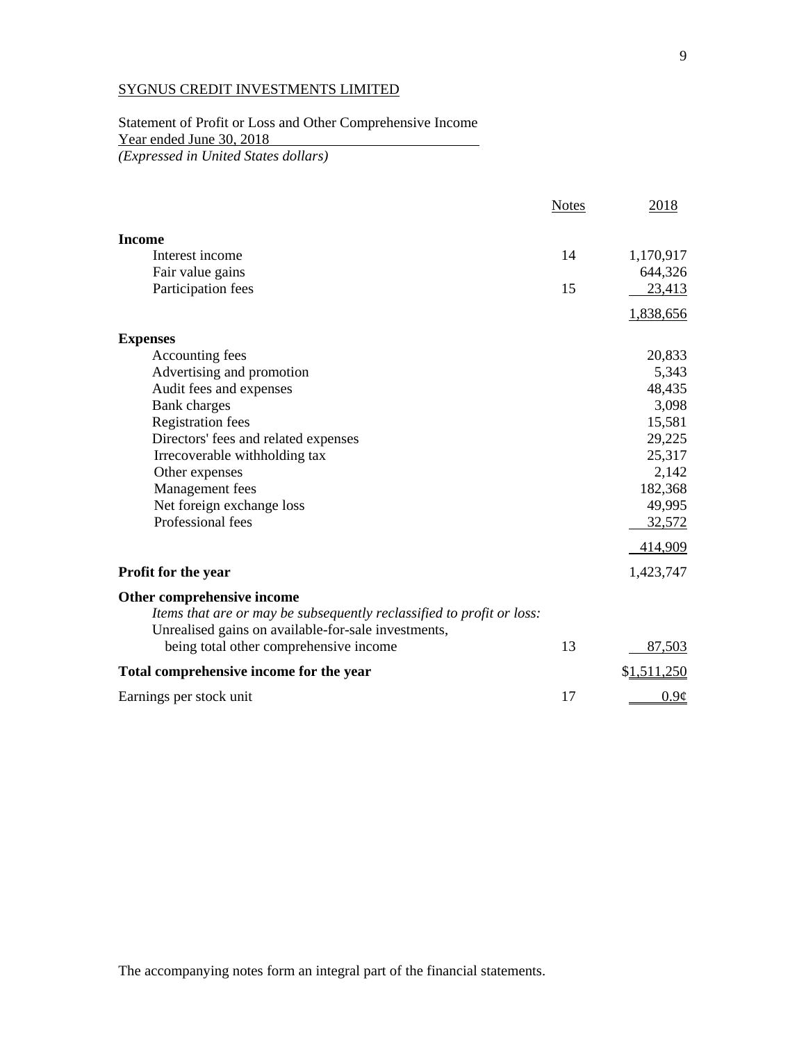Statement of Profit or Loss and Other Comprehensive Income Year ended June 30, 2018 *(Expressed in United States dollars)* 

|                                                                                                                              | <b>Notes</b> | 2018             |
|------------------------------------------------------------------------------------------------------------------------------|--------------|------------------|
| <b>Income</b>                                                                                                                |              |                  |
| Interest income                                                                                                              | 14           | 1,170,917        |
| Fair value gains                                                                                                             |              | 644,326          |
| Participation fees                                                                                                           | 15           | 23,413           |
|                                                                                                                              |              | 1,838,656        |
| <b>Expenses</b>                                                                                                              |              |                  |
| Accounting fees                                                                                                              |              | 20,833           |
| Advertising and promotion                                                                                                    |              | 5,343            |
| Audit fees and expenses                                                                                                      |              | 48,435           |
| <b>Bank</b> charges                                                                                                          |              | 3,098            |
| <b>Registration fees</b>                                                                                                     |              | 15,581           |
| Directors' fees and related expenses                                                                                         |              | 29,225           |
| Irrecoverable withholding tax                                                                                                |              | 25,317           |
| Other expenses                                                                                                               |              | 2,142            |
| Management fees                                                                                                              |              | 182,368          |
| Net foreign exchange loss                                                                                                    |              | 49,995           |
| Professional fees                                                                                                            |              | 32,572           |
|                                                                                                                              |              | 414,909          |
| <b>Profit for the year</b>                                                                                                   |              | 1,423,747        |
| Other comprehensive income                                                                                                   |              |                  |
| Items that are or may be subsequently reclassified to profit or loss:<br>Unrealised gains on available-for-sale investments, |              |                  |
| being total other comprehensive income                                                                                       | 13           | 87,503           |
| Total comprehensive income for the year                                                                                      |              | \$1,511,250      |
| Earnings per stock unit                                                                                                      | 17           | $0.9\mathcal{C}$ |

The accompanying notes form an integral part of the financial statements.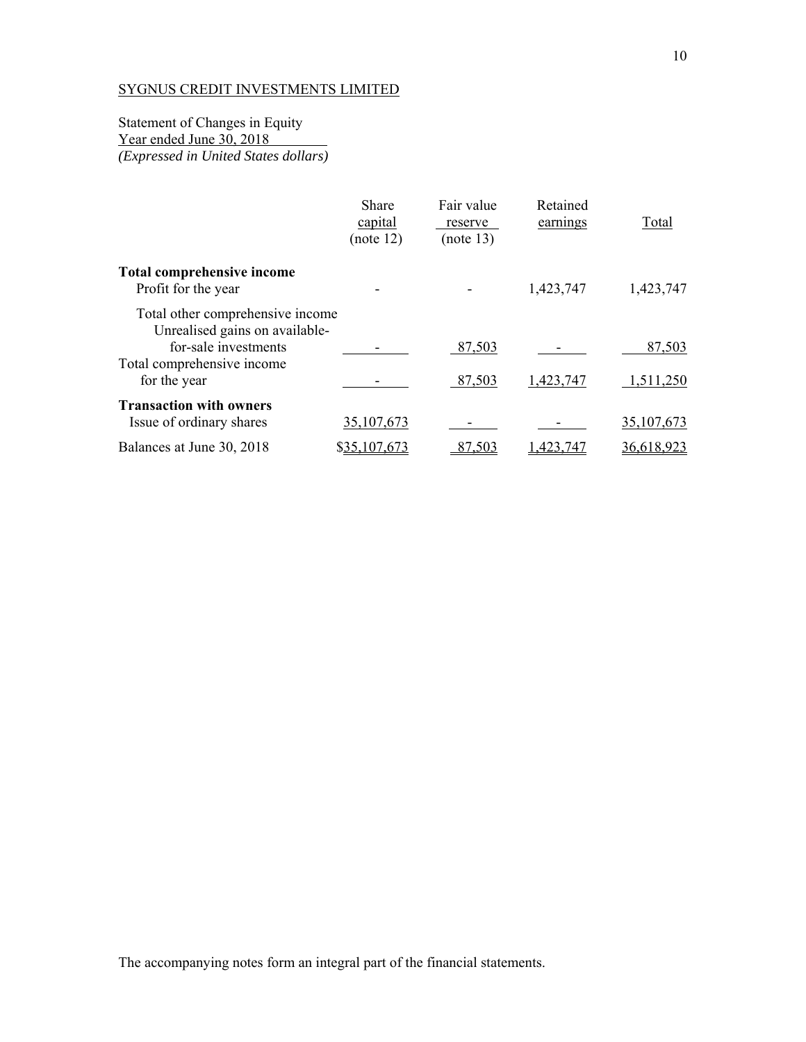# Statement of Changes in Equity Year ended June 30, 2018 *(Expressed in United States dollars)*

|                                                                                            | Share<br>capital<br>(note 12) | Fair value<br>reserve<br>(note 13) | Retained<br>earnings | Total        |
|--------------------------------------------------------------------------------------------|-------------------------------|------------------------------------|----------------------|--------------|
| Total comprehensive income<br>Profit for the year                                          |                               |                                    | 1,423,747            | 1,423,747    |
| Total other comprehensive income<br>Unrealised gains on available-<br>for-sale investments |                               | 87,503                             |                      | 87,503       |
| Total comprehensive income<br>for the year                                                 |                               | 87,503                             | 1,423,747            | 1,511,250    |
| <b>Transaction with owners</b><br>Issue of ordinary shares                                 | 35, 107, 673                  |                                    |                      | 35, 107, 673 |
| Balances at June 30, 2018                                                                  | \$35,107,673                  | 87,503                             | .423.747             | 36,618,923   |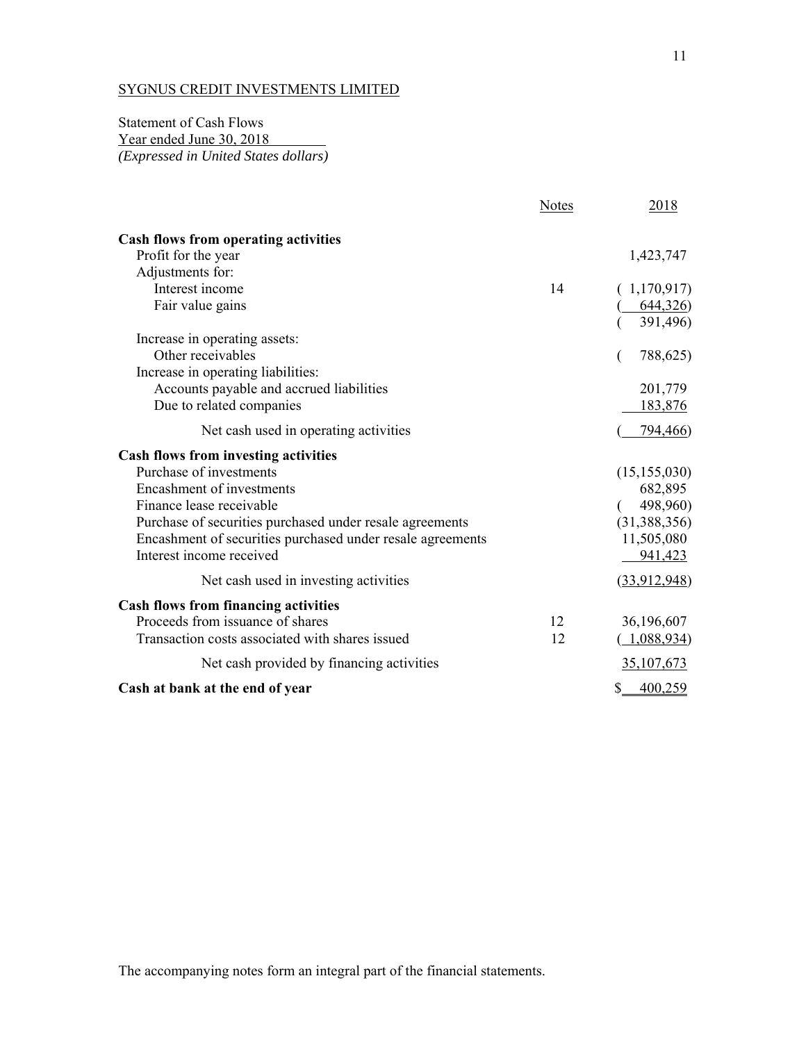Statement of Cash Flows Year ended June 30, 2018 *(Expressed in United States dollars)*

|                                                            | <b>Notes</b> | <u> 2018 </u>                         |
|------------------------------------------------------------|--------------|---------------------------------------|
| <b>Cash flows from operating activities</b>                |              |                                       |
| Profit for the year                                        |              | 1,423,747                             |
| Adjustments for:                                           |              |                                       |
| Interest income                                            | 14           | (1,170,917)                           |
| Fair value gains                                           |              | 644,326                               |
|                                                            |              | 391,496)                              |
| Increase in operating assets:                              |              |                                       |
| Other receivables                                          |              | 788,625)                              |
| Increase in operating liabilities:                         |              |                                       |
| Accounts payable and accrued liabilities                   |              | 201,779                               |
| Due to related companies                                   |              | 183,876                               |
| Net cash used in operating activities                      |              | <u>794,466</u> )                      |
| <b>Cash flows from investing activities</b>                |              |                                       |
| Purchase of investments                                    |              | (15, 155, 030)                        |
| <b>Encashment of investments</b>                           |              | 682,895                               |
| Finance lease receivable                                   |              | 498,960)                              |
| Purchase of securities purchased under resale agreements   |              | (31,388,356)                          |
| Encashment of securities purchased under resale agreements |              | 11,505,080                            |
| Interest income received                                   |              | 941,423                               |
| Net cash used in investing activities                      |              | $\left( \frac{33,912,948}{6} \right)$ |
| <b>Cash flows from financing activities</b>                |              |                                       |
| Proceeds from issuance of shares                           | 12           | 36,196,607                            |
| Transaction costs associated with shares issued            | 12           | (1,088,934)                           |
| Net cash provided by financing activities                  |              | 35,107,673                            |
| Cash at bank at the end of year                            |              | \$<br>400,259                         |

The accompanying notes form an integral part of the financial statements.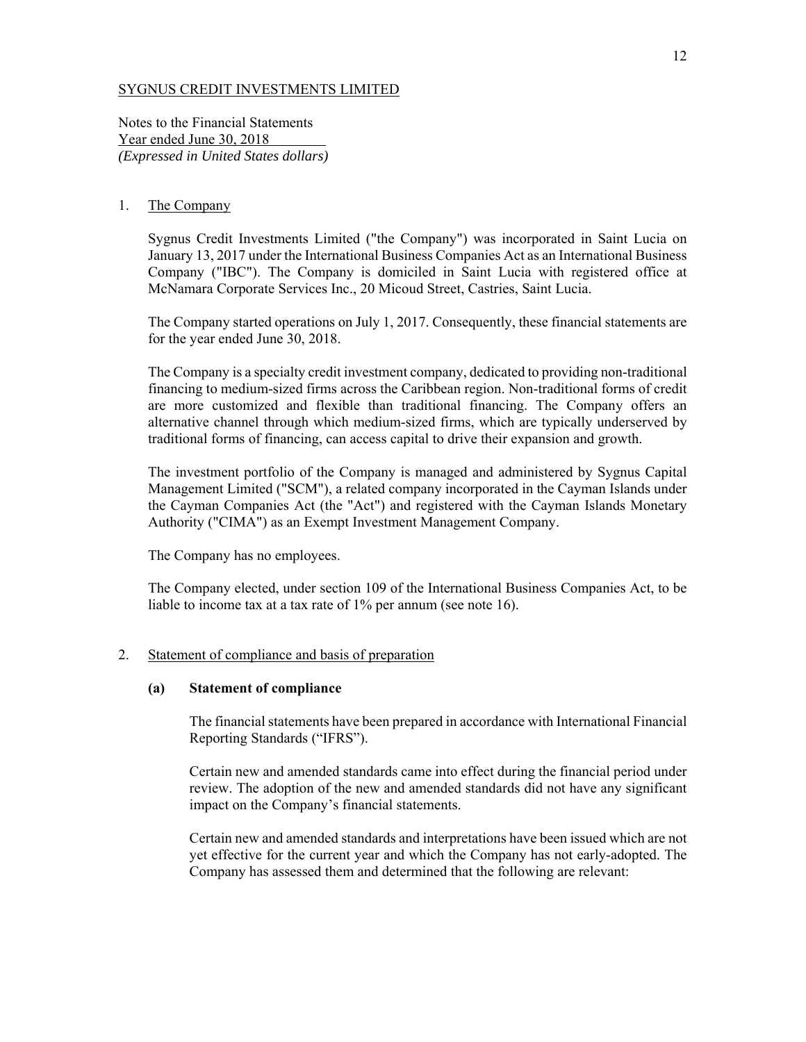Notes to the Financial Statements Year ended June 30, 2018 *(Expressed in United States dollars)* 

## 1. The Company

Sygnus Credit Investments Limited ("the Company") was incorporated in Saint Lucia on January 13, 2017 under the International Business Companies Act as an International Business Company ("IBC"). The Company is domiciled in Saint Lucia with registered office at McNamara Corporate Services Inc., 20 Micoud Street, Castries, Saint Lucia.

The Company started operations on July 1, 2017. Consequently, these financial statements are for the year ended June 30, 2018.

The Company is a specialty credit investment company, dedicated to providing non-traditional financing to medium-sized firms across the Caribbean region. Non-traditional forms of credit are more customized and flexible than traditional financing. The Company offers an alternative channel through which medium-sized firms, which are typically underserved by traditional forms of financing, can access capital to drive their expansion and growth.

The investment portfolio of the Company is managed and administered by Sygnus Capital Management Limited ("SCM"), a related company incorporated in the Cayman Islands under the Cayman Companies Act (the "Act") and registered with the Cayman Islands Monetary Authority ("CIMA") as an Exempt Investment Management Company.

The Company has no employees.

The Company elected, under section 109 of the International Business Companies Act, to be liable to income tax at a tax rate of 1% per annum (see note 16).

# 2. Statement of compliance and basis of preparation

## **(a) Statement of compliance**

The financial statements have been prepared in accordance with International Financial Reporting Standards ("IFRS").

Certain new and amended standards came into effect during the financial period under review. The adoption of the new and amended standards did not have any significant impact on the Company's financial statements.

Certain new and amended standards and interpretations have been issued which are not yet effective for the current year and which the Company has not early-adopted. The Company has assessed them and determined that the following are relevant: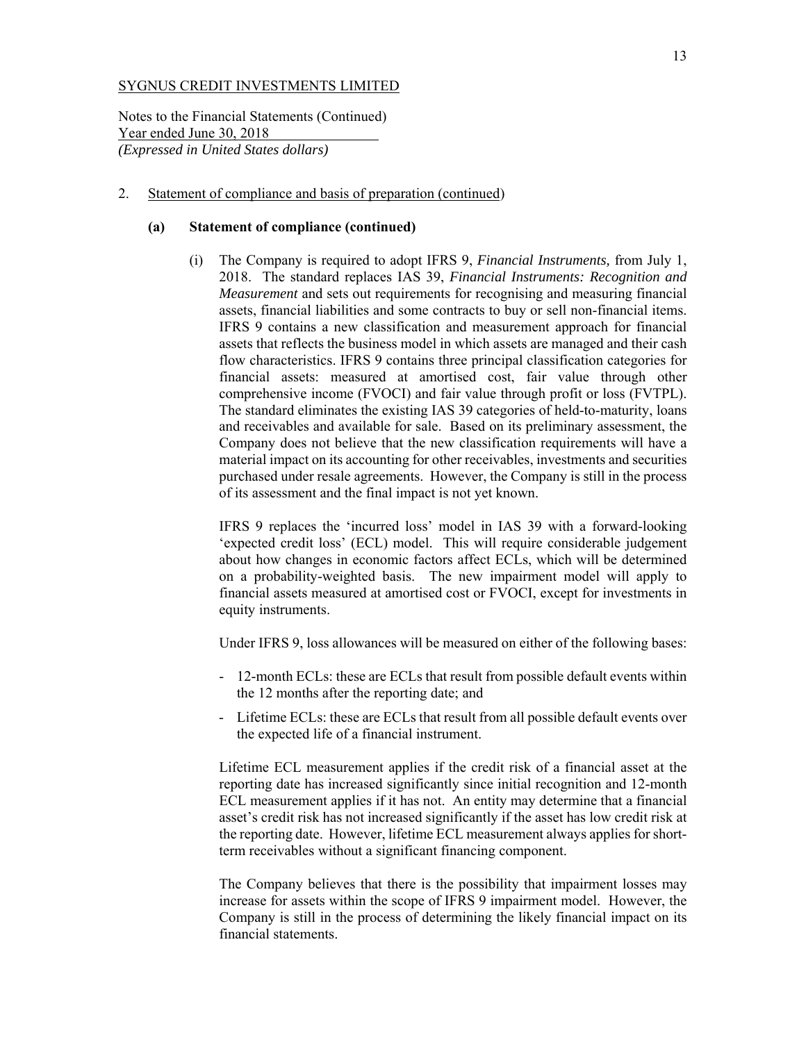Notes to the Financial Statements (Continued) Year ended June 30, 2018 *(Expressed in United States dollars)* 

## 2. Statement of compliance and basis of preparation (continued)

#### **(a) Statement of compliance (continued)**

(i) The Company is required to adopt IFRS 9, *Financial Instruments,* from July 1, 2018. The standard replaces IAS 39, *Financial Instruments: Recognition and Measurement* and sets out requirements for recognising and measuring financial assets, financial liabilities and some contracts to buy or sell non-financial items. IFRS 9 contains a new classification and measurement approach for financial assets that reflects the business model in which assets are managed and their cash flow characteristics. IFRS 9 contains three principal classification categories for financial assets: measured at amortised cost, fair value through other comprehensive income (FVOCI) and fair value through profit or loss (FVTPL). The standard eliminates the existing IAS 39 categories of held-to-maturity, loans and receivables and available for sale. Based on its preliminary assessment, the Company does not believe that the new classification requirements will have a material impact on its accounting for other receivables, investments and securities purchased under resale agreements. However, the Company is still in the process of its assessment and the final impact is not yet known.

IFRS 9 replaces the 'incurred loss' model in IAS 39 with a forward-looking 'expected credit loss' (ECL) model. This will require considerable judgement about how changes in economic factors affect ECLs, which will be determined on a probability-weighted basis. The new impairment model will apply to financial assets measured at amortised cost or FVOCI, except for investments in equity instruments.

Under IFRS 9, loss allowances will be measured on either of the following bases:

- 12-month ECLs: these are ECLs that result from possible default events within the 12 months after the reporting date; and
- Lifetime ECLs: these are ECLs that result from all possible default events over the expected life of a financial instrument.

Lifetime ECL measurement applies if the credit risk of a financial asset at the reporting date has increased significantly since initial recognition and 12-month ECL measurement applies if it has not. An entity may determine that a financial asset's credit risk has not increased significantly if the asset has low credit risk at the reporting date. However, lifetime ECL measurement always applies for shortterm receivables without a significant financing component.

The Company believes that there is the possibility that impairment losses may increase for assets within the scope of IFRS 9 impairment model. However, the Company is still in the process of determining the likely financial impact on its financial statements.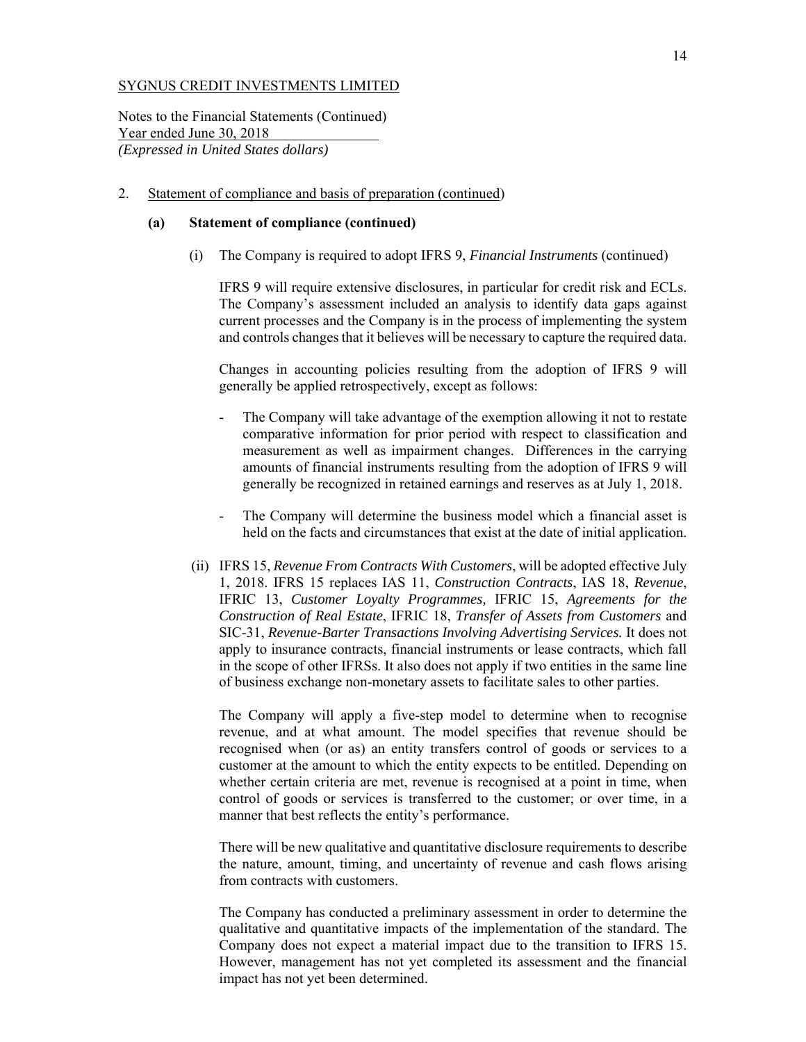Notes to the Financial Statements (Continued) Year ended June 30, 2018 *(Expressed in United States dollars)* 

#### 2. Statement of compliance and basis of preparation (continued)

#### **(a) Statement of compliance (continued)**

(i) The Company is required to adopt IFRS 9, *Financial Instruments* (continued)

IFRS 9 will require extensive disclosures, in particular for credit risk and ECLs. The Company's assessment included an analysis to identify data gaps against current processes and the Company is in the process of implementing the system and controls changes that it believes will be necessary to capture the required data.

Changes in accounting policies resulting from the adoption of IFRS 9 will generally be applied retrospectively, except as follows:

- The Company will take advantage of the exemption allowing it not to restate comparative information for prior period with respect to classification and measurement as well as impairment changes. Differences in the carrying amounts of financial instruments resulting from the adoption of IFRS 9 will generally be recognized in retained earnings and reserves as at July 1, 2018.
- The Company will determine the business model which a financial asset is held on the facts and circumstances that exist at the date of initial application.
- (ii) IFRS 15, *Revenue From Contracts With Customers*, will be adopted effective July 1, 2018. IFRS 15 replaces IAS 11, *Construction Contracts*, IAS 18, *Revenue*, IFRIC 13, *Customer Loyalty Programmes,* IFRIC 15, *Agreements for the Construction of Real Estate*, IFRIC 18, *Transfer of Assets from Customers* and SIC-31, *Revenue-Barter Transactions Involving Advertising Services.* It does not apply to insurance contracts, financial instruments or lease contracts, which fall in the scope of other IFRSs. It also does not apply if two entities in the same line of business exchange non-monetary assets to facilitate sales to other parties.

The Company will apply a five-step model to determine when to recognise revenue, and at what amount. The model specifies that revenue should be recognised when (or as) an entity transfers control of goods or services to a customer at the amount to which the entity expects to be entitled. Depending on whether certain criteria are met, revenue is recognised at a point in time, when control of goods or services is transferred to the customer; or over time, in a manner that best reflects the entity's performance.

There will be new qualitative and quantitative disclosure requirements to describe the nature, amount, timing, and uncertainty of revenue and cash flows arising from contracts with customers.

The Company has conducted a preliminary assessment in order to determine the qualitative and quantitative impacts of the implementation of the standard. The Company does not expect a material impact due to the transition to IFRS 15. However, management has not yet completed its assessment and the financial impact has not yet been determined.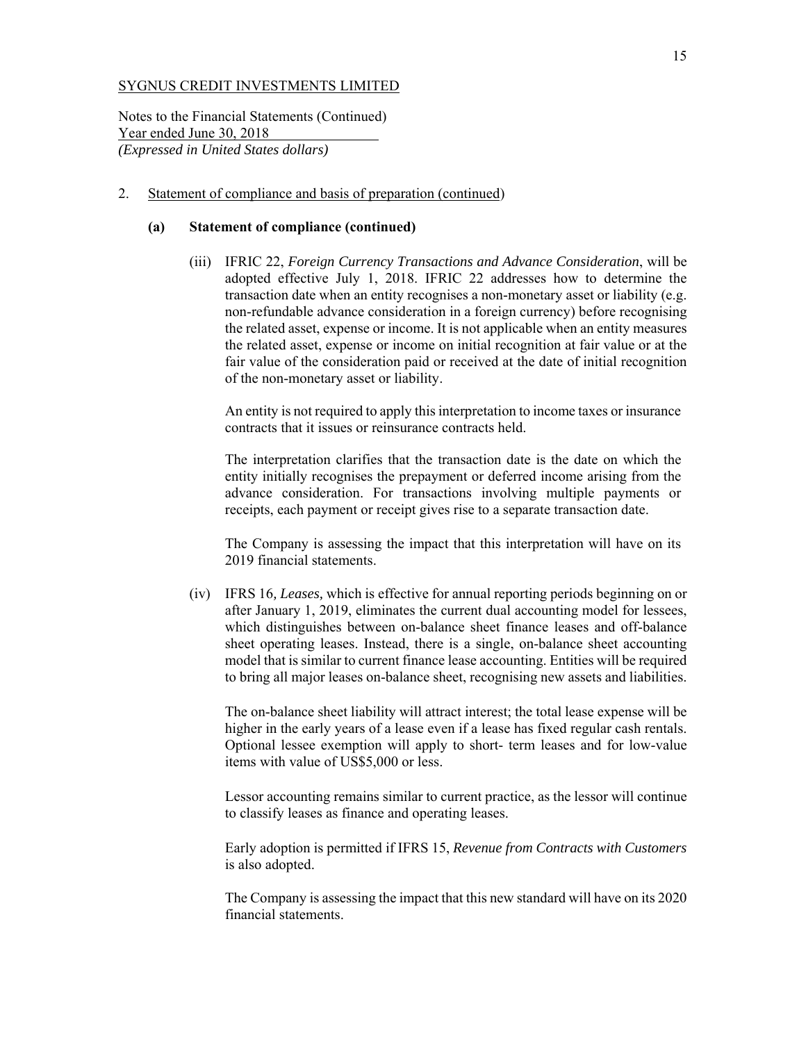Notes to the Financial Statements (Continued) Year ended June 30, 2018 *(Expressed in United States dollars)* 

## 2. Statement of compliance and basis of preparation (continued)

#### **(a) Statement of compliance (continued)**

(iii) IFRIC 22, *Foreign Currency Transactions and Advance Consideration*, will be adopted effective July 1, 2018. IFRIC 22 addresses how to determine the transaction date when an entity recognises a non-monetary asset or liability (e.g. non-refundable advance consideration in a foreign currency) before recognising the related asset, expense or income. It is not applicable when an entity measures the related asset, expense or income on initial recognition at fair value or at the fair value of the consideration paid or received at the date of initial recognition of the non-monetary asset or liability.

An entity is not required to apply this interpretation to income taxes or insurance contracts that it issues or reinsurance contracts held.

The interpretation clarifies that the transaction date is the date on which the entity initially recognises the prepayment or deferred income arising from the advance consideration. For transactions involving multiple payments or receipts, each payment or receipt gives rise to a separate transaction date.

The Company is assessing the impact that this interpretation will have on its 2019 financial statements.

(iv) IFRS 16*, Leases,* which is effective for annual reporting periods beginning on or after January 1, 2019, eliminates the current dual accounting model for lessees, which distinguishes between on-balance sheet finance leases and off-balance sheet operating leases. Instead, there is a single, on-balance sheet accounting model that is similar to current finance lease accounting. Entities will be required to bring all major leases on-balance sheet, recognising new assets and liabilities.

The on-balance sheet liability will attract interest; the total lease expense will be higher in the early years of a lease even if a lease has fixed regular cash rentals. Optional lessee exemption will apply to short- term leases and for low-value items with value of US\$5,000 or less.

Lessor accounting remains similar to current practice, as the lessor will continue to classify leases as finance and operating leases.

Early adoption is permitted if IFRS 15, *Revenue from Contracts with Customers* is also adopted.

The Company is assessing the impact that this new standard will have on its 2020 financial statements.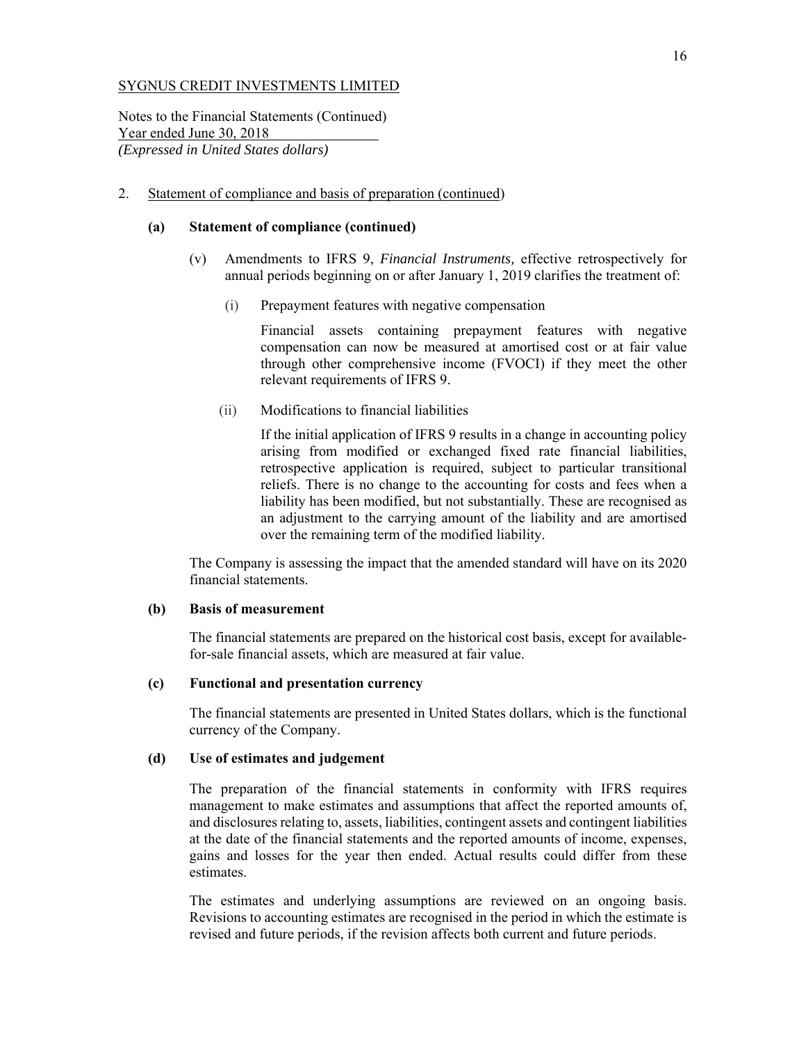Notes to the Financial Statements (Continued) Year ended June 30, 2018 *(Expressed in United States dollars)* 

# 2. Statement of compliance and basis of preparation (continued)

## **(a) Statement of compliance (continued)**

- (v) Amendments to IFRS 9, *Financial Instruments,* effective retrospectively for annual periods beginning on or after January 1, 2019 clarifies the treatment of:
	- (i) Prepayment features with negative compensation

Financial assets containing prepayment features with negative compensation can now be measured at amortised cost or at fair value through other comprehensive income (FVOCI) if they meet the other relevant requirements of IFRS 9.

(ii) Modifications to financial liabilities

If the initial application of IFRS 9 results in a change in accounting policy arising from modified or exchanged fixed rate financial liabilities, retrospective application is required, subject to particular transitional reliefs. There is no change to the accounting for costs and fees when a liability has been modified, but not substantially. These are recognised as an adjustment to the carrying amount of the liability and are amortised over the remaining term of the modified liability.

The Company is assessing the impact that the amended standard will have on its 2020 financial statements.

## **(b) Basis of measurement**

The financial statements are prepared on the historical cost basis, except for availablefor-sale financial assets, which are measured at fair value.

## **(c) Functional and presentation currency**

The financial statements are presented in United States dollars, which is the functional currency of the Company.

# **(d) Use of estimates and judgement**

The preparation of the financial statements in conformity with IFRS requires management to make estimates and assumptions that affect the reported amounts of, and disclosures relating to, assets, liabilities, contingent assets and contingent liabilities at the date of the financial statements and the reported amounts of income, expenses, gains and losses for the year then ended. Actual results could differ from these estimates.

The estimates and underlying assumptions are reviewed on an ongoing basis. Revisions to accounting estimates are recognised in the period in which the estimate is revised and future periods, if the revision affects both current and future periods.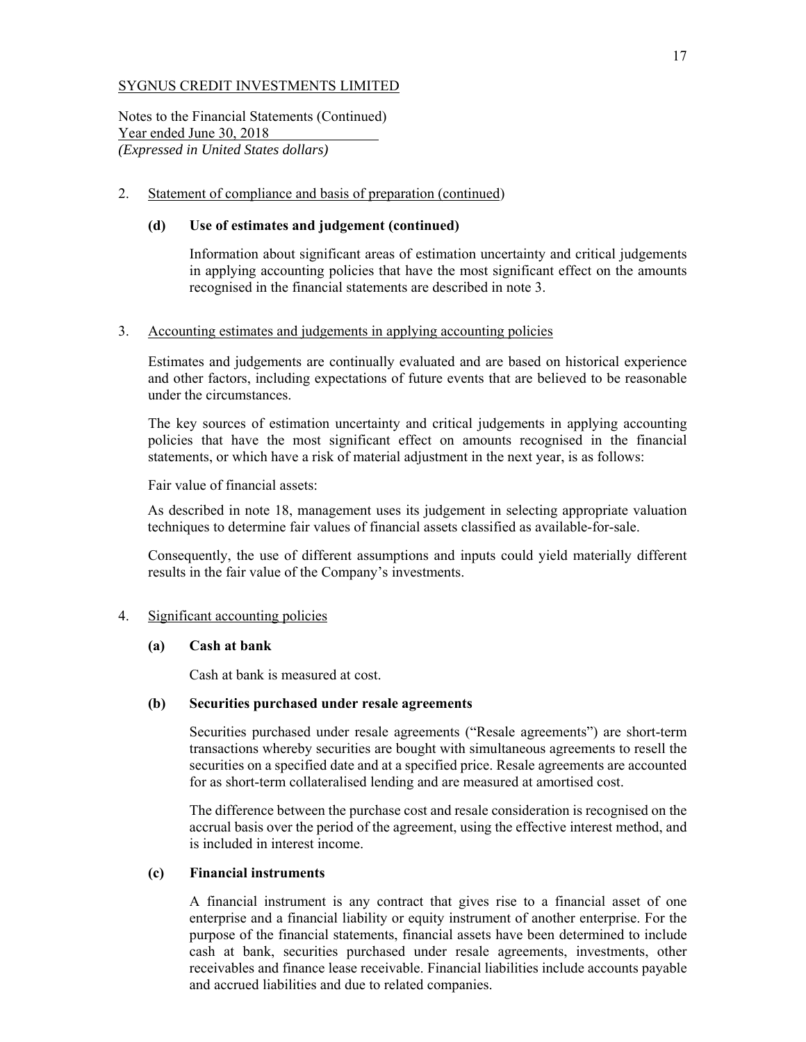Notes to the Financial Statements (Continued) Year ended June 30, 2018 *(Expressed in United States dollars)* 

## 2. Statement of compliance and basis of preparation (continued)

# **(d) Use of estimates and judgement (continued)**

Information about significant areas of estimation uncertainty and critical judgements in applying accounting policies that have the most significant effect on the amounts recognised in the financial statements are described in note 3.

## 3. Accounting estimates and judgements in applying accounting policies

Estimates and judgements are continually evaluated and are based on historical experience and other factors, including expectations of future events that are believed to be reasonable under the circumstances.

The key sources of estimation uncertainty and critical judgements in applying accounting policies that have the most significant effect on amounts recognised in the financial statements, or which have a risk of material adjustment in the next year, is as follows:

Fair value of financial assets:

As described in note 18, management uses its judgement in selecting appropriate valuation techniques to determine fair values of financial assets classified as available-for-sale.

Consequently, the use of different assumptions and inputs could yield materially different results in the fair value of the Company's investments.

## 4. Significant accounting policies

#### **(a) Cash at bank**

Cash at bank is measured at cost.

#### **(b) Securities purchased under resale agreements**

Securities purchased under resale agreements ("Resale agreements") are short-term transactions whereby securities are bought with simultaneous agreements to resell the securities on a specified date and at a specified price. Resale agreements are accounted for as short-term collateralised lending and are measured at amortised cost.

The difference between the purchase cost and resale consideration is recognised on the accrual basis over the period of the agreement, using the effective interest method, and is included in interest income.

## **(c) Financial instruments**

A financial instrument is any contract that gives rise to a financial asset of one enterprise and a financial liability or equity instrument of another enterprise. For the purpose of the financial statements, financial assets have been determined to include cash at bank, securities purchased under resale agreements, investments, other receivables and finance lease receivable. Financial liabilities include accounts payable and accrued liabilities and due to related companies.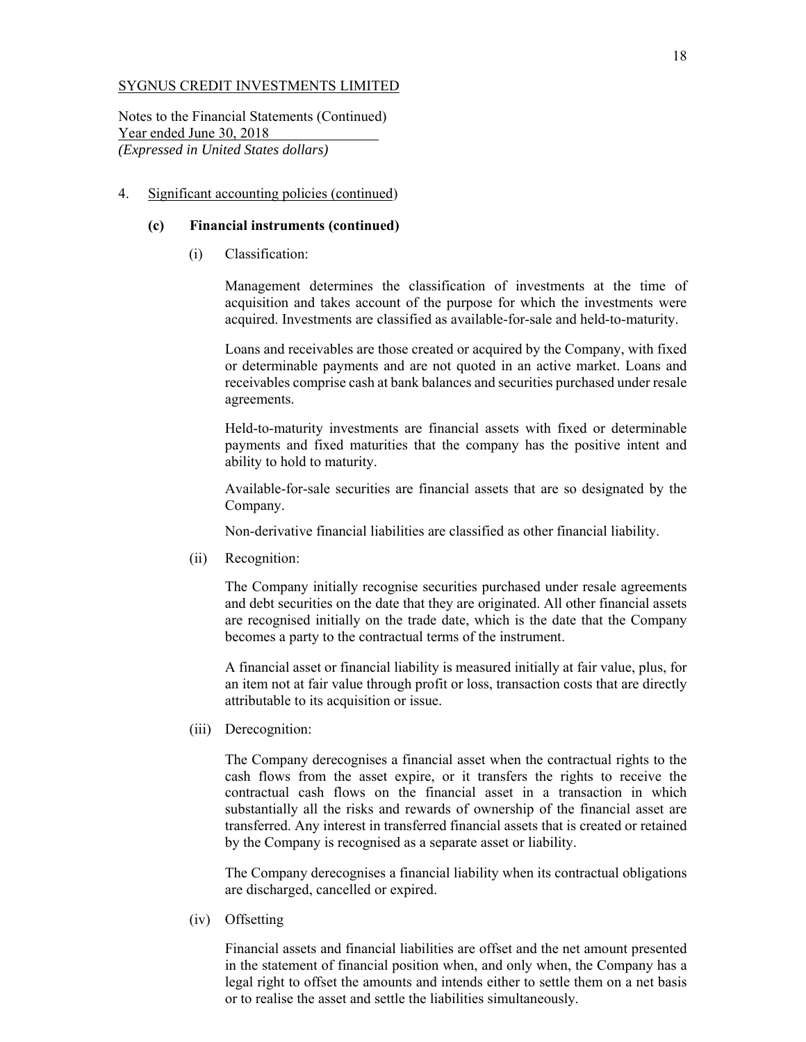Notes to the Financial Statements (Continued) Year ended June 30, 2018 *(Expressed in United States dollars)* 

## 4. Significant accounting policies (continued)

#### **(c) Financial instruments (continued)**

(i) Classification:

Management determines the classification of investments at the time of acquisition and takes account of the purpose for which the investments were acquired. Investments are classified as available-for-sale and held-to-maturity.

Loans and receivables are those created or acquired by the Company, with fixed or determinable payments and are not quoted in an active market. Loans and receivables comprise cash at bank balances and securities purchased under resale agreements.

Held-to-maturity investments are financial assets with fixed or determinable payments and fixed maturities that the company has the positive intent and ability to hold to maturity.

Available-for-sale securities are financial assets that are so designated by the Company.

Non-derivative financial liabilities are classified as other financial liability.

(ii) Recognition:

The Company initially recognise securities purchased under resale agreements and debt securities on the date that they are originated. All other financial assets are recognised initially on the trade date, which is the date that the Company becomes a party to the contractual terms of the instrument.

A financial asset or financial liability is measured initially at fair value, plus, for an item not at fair value through profit or loss, transaction costs that are directly attributable to its acquisition or issue.

(iii) Derecognition:

The Company derecognises a financial asset when the contractual rights to the cash flows from the asset expire, or it transfers the rights to receive the contractual cash flows on the financial asset in a transaction in which substantially all the risks and rewards of ownership of the financial asset are transferred. Any interest in transferred financial assets that is created or retained by the Company is recognised as a separate asset or liability.

The Company derecognises a financial liability when its contractual obligations are discharged, cancelled or expired.

(iv) Offsetting

Financial assets and financial liabilities are offset and the net amount presented in the statement of financial position when, and only when, the Company has a legal right to offset the amounts and intends either to settle them on a net basis or to realise the asset and settle the liabilities simultaneously.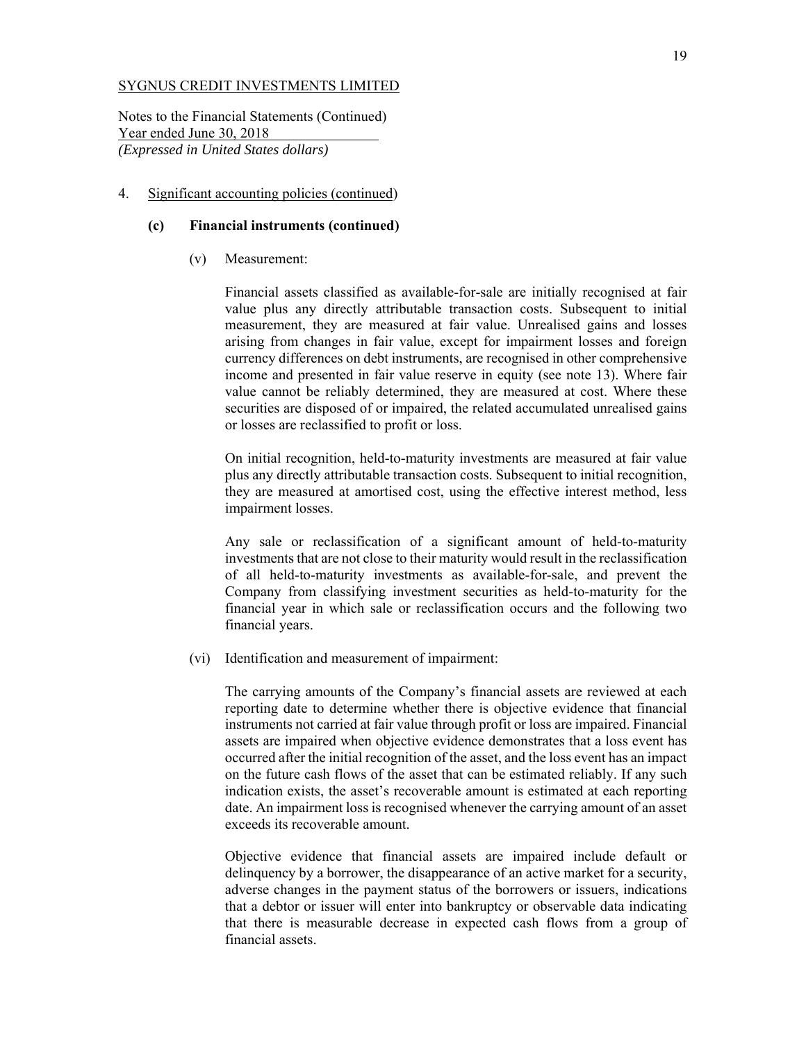Notes to the Financial Statements (Continued) Year ended June 30, 2018 *(Expressed in United States dollars)* 

## 4. Significant accounting policies (continued)

#### **(c) Financial instruments (continued)**

(v) Measurement:

Financial assets classified as available-for-sale are initially recognised at fair value plus any directly attributable transaction costs. Subsequent to initial measurement, they are measured at fair value. Unrealised gains and losses arising from changes in fair value, except for impairment losses and foreign currency differences on debt instruments, are recognised in other comprehensive income and presented in fair value reserve in equity (see note 13). Where fair value cannot be reliably determined, they are measured at cost. Where these securities are disposed of or impaired, the related accumulated unrealised gains or losses are reclassified to profit or loss.

On initial recognition, held-to-maturity investments are measured at fair value plus any directly attributable transaction costs. Subsequent to initial recognition, they are measured at amortised cost, using the effective interest method, less impairment losses.

Any sale or reclassification of a significant amount of held-to-maturity investments that are not close to their maturity would result in the reclassification of all held-to-maturity investments as available-for-sale, and prevent the Company from classifying investment securities as held-to-maturity for the financial year in which sale or reclassification occurs and the following two financial years.

(vi) Identification and measurement of impairment:

The carrying amounts of the Company's financial assets are reviewed at each reporting date to determine whether there is objective evidence that financial instruments not carried at fair value through profit or loss are impaired. Financial assets are impaired when objective evidence demonstrates that a loss event has occurred after the initial recognition of the asset, and the loss event has an impact on the future cash flows of the asset that can be estimated reliably. If any such indication exists, the asset's recoverable amount is estimated at each reporting date. An impairment loss is recognised whenever the carrying amount of an asset exceeds its recoverable amount.

Objective evidence that financial assets are impaired include default or delinquency by a borrower, the disappearance of an active market for a security, adverse changes in the payment status of the borrowers or issuers, indications that a debtor or issuer will enter into bankruptcy or observable data indicating that there is measurable decrease in expected cash flows from a group of financial assets.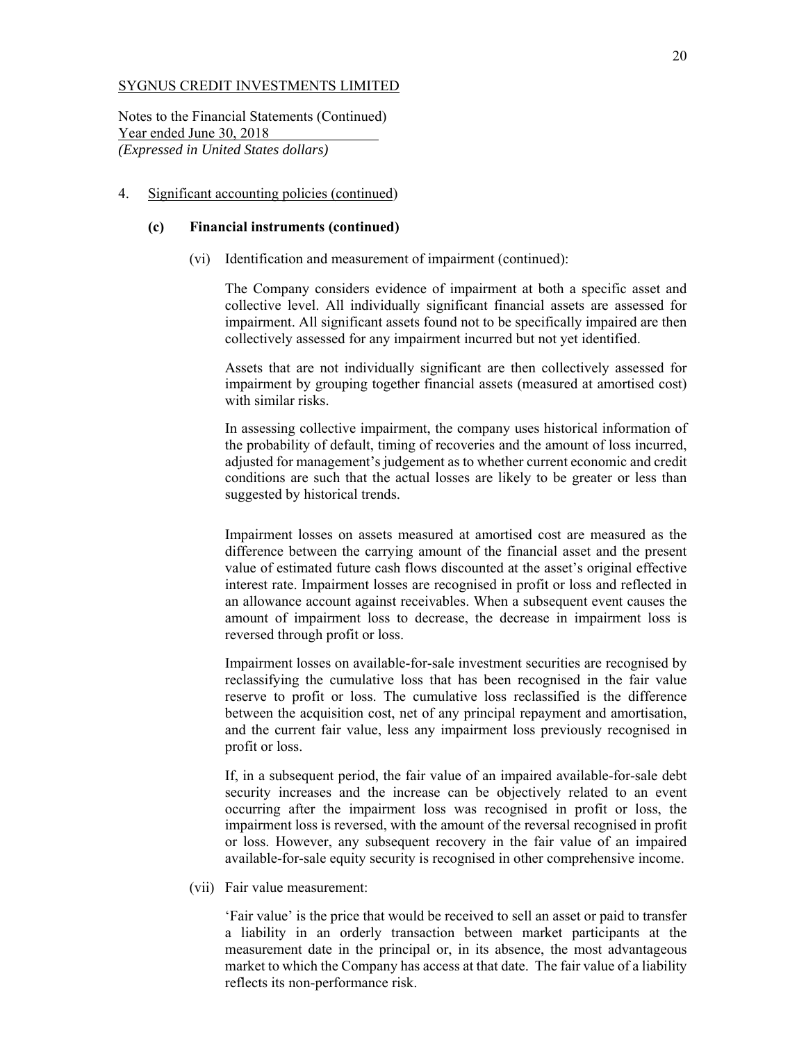Notes to the Financial Statements (Continued) Year ended June 30, 2018 *(Expressed in United States dollars)* 

#### 4. Significant accounting policies (continued)

#### **(c) Financial instruments (continued)**

(vi) Identification and measurement of impairment (continued):

The Company considers evidence of impairment at both a specific asset and collective level. All individually significant financial assets are assessed for impairment. All significant assets found not to be specifically impaired are then collectively assessed for any impairment incurred but not yet identified.

Assets that are not individually significant are then collectively assessed for impairment by grouping together financial assets (measured at amortised cost) with similar risks.

In assessing collective impairment, the company uses historical information of the probability of default, timing of recoveries and the amount of loss incurred, adjusted for management's judgement as to whether current economic and credit conditions are such that the actual losses are likely to be greater or less than suggested by historical trends.

Impairment losses on assets measured at amortised cost are measured as the difference between the carrying amount of the financial asset and the present value of estimated future cash flows discounted at the asset's original effective interest rate. Impairment losses are recognised in profit or loss and reflected in an allowance account against receivables. When a subsequent event causes the amount of impairment loss to decrease, the decrease in impairment loss is reversed through profit or loss.

Impairment losses on available-for-sale investment securities are recognised by reclassifying the cumulative loss that has been recognised in the fair value reserve to profit or loss. The cumulative loss reclassified is the difference between the acquisition cost, net of any principal repayment and amortisation, and the current fair value, less any impairment loss previously recognised in profit or loss.

If, in a subsequent period, the fair value of an impaired available-for-sale debt security increases and the increase can be objectively related to an event occurring after the impairment loss was recognised in profit or loss, the impairment loss is reversed, with the amount of the reversal recognised in profit or loss. However, any subsequent recovery in the fair value of an impaired available-for-sale equity security is recognised in other comprehensive income.

(vii) Fair value measurement:

'Fair value' is the price that would be received to sell an asset or paid to transfer a liability in an orderly transaction between market participants at the measurement date in the principal or, in its absence, the most advantageous market to which the Company has access at that date. The fair value of a liability reflects its non-performance risk.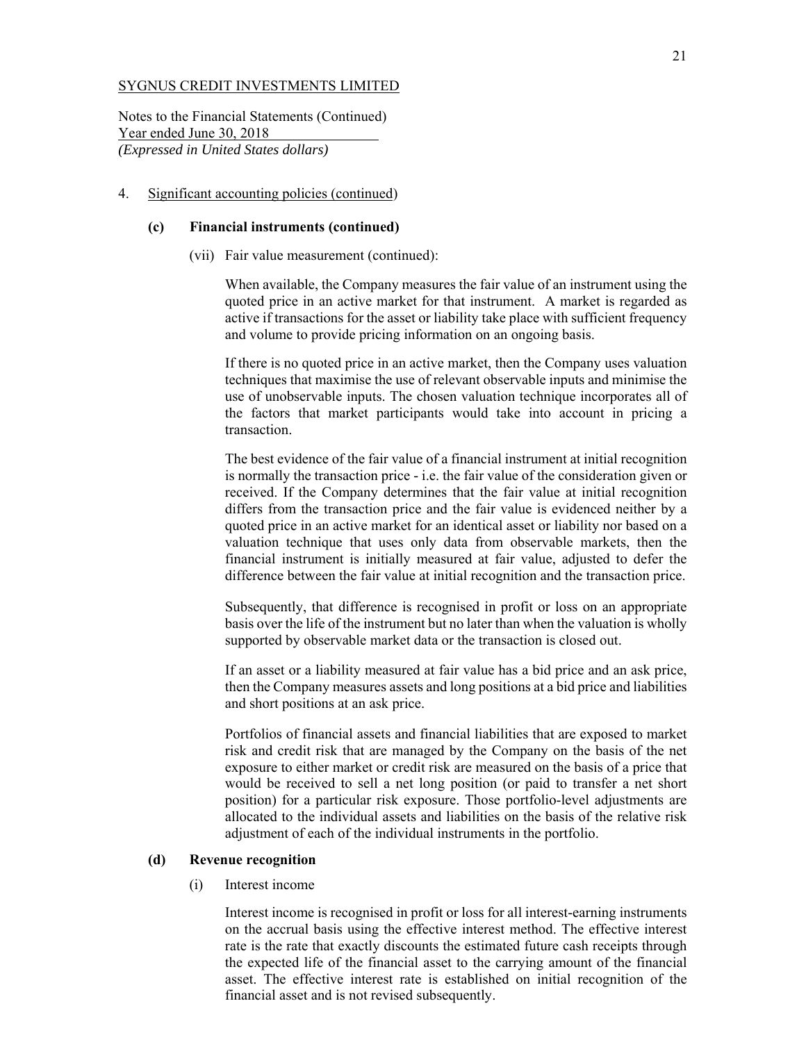Notes to the Financial Statements (Continued) Year ended June 30, 2018 *(Expressed in United States dollars)* 

#### 4. Significant accounting policies (continued)

#### **(c) Financial instruments (continued)**

(vii) Fair value measurement (continued):

When available, the Company measures the fair value of an instrument using the quoted price in an active market for that instrument. A market is regarded as active if transactions for the asset or liability take place with sufficient frequency and volume to provide pricing information on an ongoing basis.

If there is no quoted price in an active market, then the Company uses valuation techniques that maximise the use of relevant observable inputs and minimise the use of unobservable inputs. The chosen valuation technique incorporates all of the factors that market participants would take into account in pricing a transaction.

The best evidence of the fair value of a financial instrument at initial recognition is normally the transaction price - i.e. the fair value of the consideration given or received. If the Company determines that the fair value at initial recognition differs from the transaction price and the fair value is evidenced neither by a quoted price in an active market for an identical asset or liability nor based on a valuation technique that uses only data from observable markets, then the financial instrument is initially measured at fair value, adjusted to defer the difference between the fair value at initial recognition and the transaction price.

Subsequently, that difference is recognised in profit or loss on an appropriate basis over the life of the instrument but no later than when the valuation is wholly supported by observable market data or the transaction is closed out.

If an asset or a liability measured at fair value has a bid price and an ask price, then the Company measures assets and long positions at a bid price and liabilities and short positions at an ask price.

Portfolios of financial assets and financial liabilities that are exposed to market risk and credit risk that are managed by the Company on the basis of the net exposure to either market or credit risk are measured on the basis of a price that would be received to sell a net long position (or paid to transfer a net short position) for a particular risk exposure. Those portfolio-level adjustments are allocated to the individual assets and liabilities on the basis of the relative risk adjustment of each of the individual instruments in the portfolio.

#### **(d) Revenue recognition**

(i) Interest income

Interest income is recognised in profit or loss for all interest-earning instruments on the accrual basis using the effective interest method. The effective interest rate is the rate that exactly discounts the estimated future cash receipts through the expected life of the financial asset to the carrying amount of the financial asset. The effective interest rate is established on initial recognition of the financial asset and is not revised subsequently.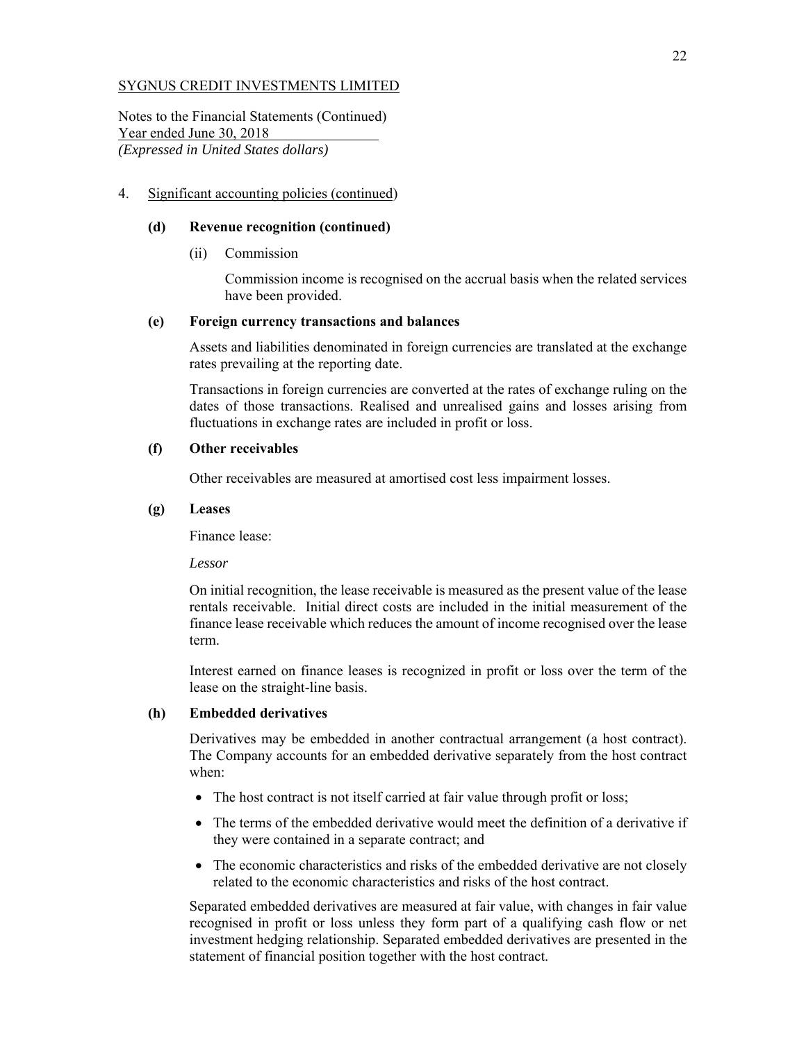Notes to the Financial Statements (Continued) Year ended June 30, 2018 *(Expressed in United States dollars)* 

## 4. Significant accounting policies (continued)

#### **(d) Revenue recognition (continued)**

(ii) Commission

Commission income is recognised on the accrual basis when the related services have been provided.

## **(e) Foreign currency transactions and balances**

Assets and liabilities denominated in foreign currencies are translated at the exchange rates prevailing at the reporting date.

Transactions in foreign currencies are converted at the rates of exchange ruling on the dates of those transactions. Realised and unrealised gains and losses arising from fluctuations in exchange rates are included in profit or loss.

## **(f) Other receivables**

Other receivables are measured at amortised cost less impairment losses.

#### **(g) Leases**

Finance lease:

*Lessor* 

On initial recognition, the lease receivable is measured as the present value of the lease rentals receivable. Initial direct costs are included in the initial measurement of the finance lease receivable which reduces the amount of income recognised over the lease term.

Interest earned on finance leases is recognized in profit or loss over the term of the lease on the straight-line basis.

## **(h) Embedded derivatives**

Derivatives may be embedded in another contractual arrangement (a host contract). The Company accounts for an embedded derivative separately from the host contract when:

- The host contract is not itself carried at fair value through profit or loss;
- The terms of the embedded derivative would meet the definition of a derivative if they were contained in a separate contract; and
- The economic characteristics and risks of the embedded derivative are not closely related to the economic characteristics and risks of the host contract.

Separated embedded derivatives are measured at fair value, with changes in fair value recognised in profit or loss unless they form part of a qualifying cash flow or net investment hedging relationship. Separated embedded derivatives are presented in the statement of financial position together with the host contract.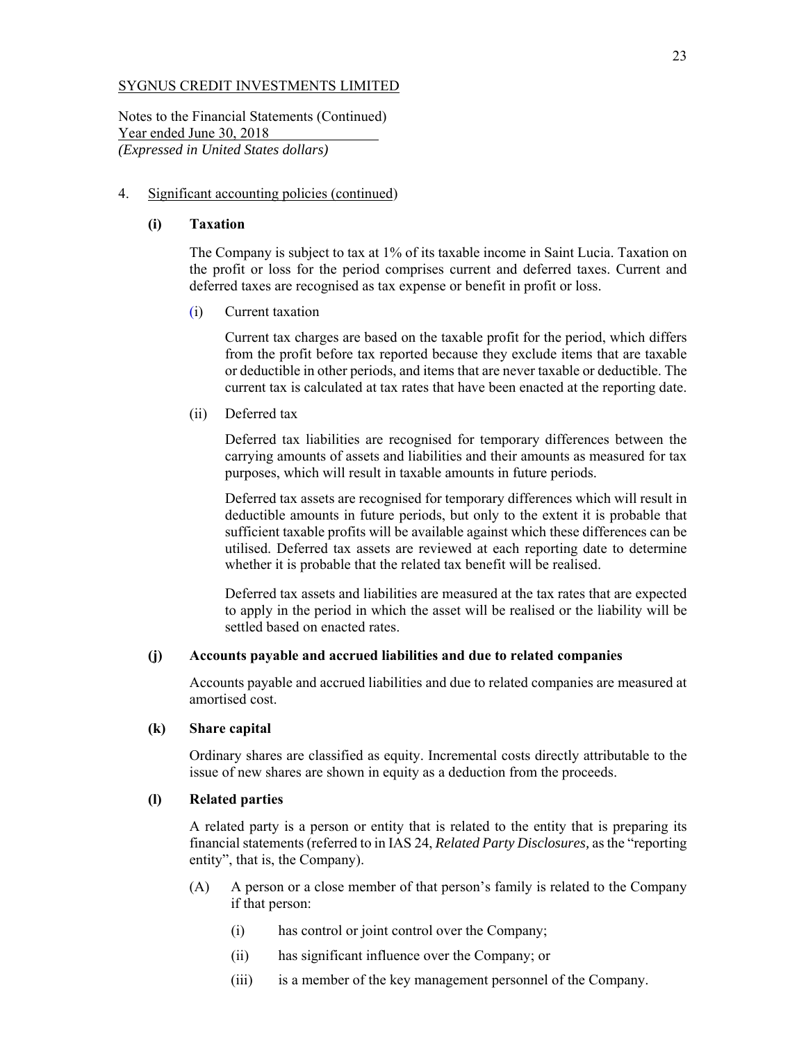Notes to the Financial Statements (Continued) Year ended June 30, 2018 *(Expressed in United States dollars)* 

#### 4. Significant accounting policies (continued)

## **(i) Taxation**

The Company is subject to tax at 1% of its taxable income in Saint Lucia. Taxation on the profit or loss for the period comprises current and deferred taxes. Current and deferred taxes are recognised as tax expense or benefit in profit or loss.

(i) Current taxation

Current tax charges are based on the taxable profit for the period, which differs from the profit before tax reported because they exclude items that are taxable or deductible in other periods, and items that are never taxable or deductible. The current tax is calculated at tax rates that have been enacted at the reporting date.

(ii) Deferred tax

Deferred tax liabilities are recognised for temporary differences between the carrying amounts of assets and liabilities and their amounts as measured for tax purposes, which will result in taxable amounts in future periods.

Deferred tax assets are recognised for temporary differences which will result in deductible amounts in future periods, but only to the extent it is probable that sufficient taxable profits will be available against which these differences can be utilised. Deferred tax assets are reviewed at each reporting date to determine whether it is probable that the related tax benefit will be realised.

Deferred tax assets and liabilities are measured at the tax rates that are expected to apply in the period in which the asset will be realised or the liability will be settled based on enacted rates.

#### **(j) Accounts payable and accrued liabilities and due to related companies**

Accounts payable and accrued liabilities and due to related companies are measured at amortised cost.

#### **(k) Share capital**

Ordinary shares are classified as equity. Incremental costs directly attributable to the issue of new shares are shown in equity as a deduction from the proceeds.

### **(l) Related parties**

A related party is a person or entity that is related to the entity that is preparing its financial statements (referred to in IAS 24, *Related Party Disclosures,* as the "reporting entity", that is, the Company).

- (A) A person or a close member of that person's family is related to the Company if that person:
	- (i) has control or joint control over the Company;
	- (ii) has significant influence over the Company; or
	- (iii) is a member of the key management personnel of the Company.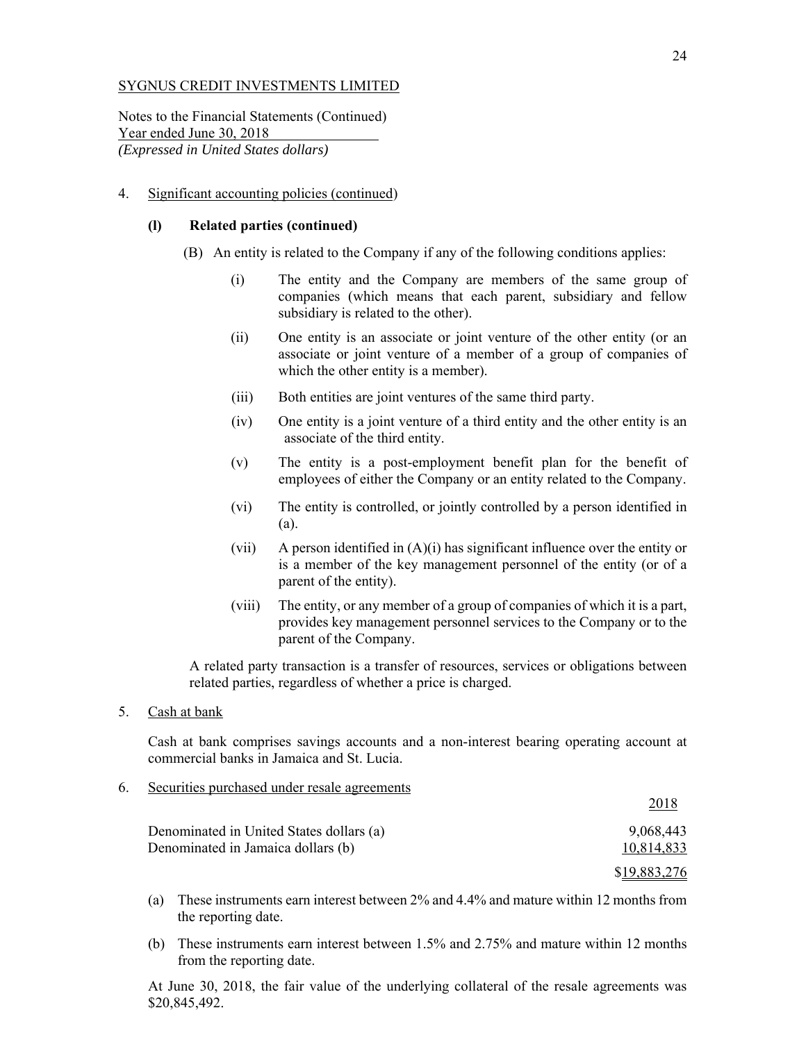Notes to the Financial Statements (Continued) Year ended June 30, 2018 *(Expressed in United States dollars)* 

#### 4. Significant accounting policies (continued)

#### **(l) Related parties (continued)**

- (B) An entity is related to the Company if any of the following conditions applies:
	- (i) The entity and the Company are members of the same group of companies (which means that each parent, subsidiary and fellow subsidiary is related to the other).
	- (ii) One entity is an associate or joint venture of the other entity (or an associate or joint venture of a member of a group of companies of which the other entity is a member).
	- (iii) Both entities are joint ventures of the same third party.
	- (iv) One entity is a joint venture of a third entity and the other entity is an associate of the third entity.
	- (v) The entity is a post-employment benefit plan for the benefit of employees of either the Company or an entity related to the Company.
	- (vi) The entity is controlled, or jointly controlled by a person identified in (a).
	- (vii) A person identified in  $(A)(i)$  has significant influence over the entity or is a member of the key management personnel of the entity (or of a parent of the entity).
	- (viii) The entity, or any member of a group of companies of which it is a part, provides key management personnel services to the Company or to the parent of the Company.

A related party transaction is a transfer of resources, services or obligations between related parties, regardless of whether a price is charged.

5. Cash at bank

Cash at bank comprises savings accounts and a non-interest bearing operating account at commercial banks in Jamaica and St. Lucia.

6. Securities purchased under resale agreements

|                                          | 2018         |
|------------------------------------------|--------------|
| Denominated in United States dollars (a) | 9,068,443    |
| Denominated in Jamaica dollars (b)       | 10,814,833   |
|                                          | \$19,883,276 |

- (a) These instruments earn interest between 2% and 4.4% and mature within 12 months from the reporting date.
- (b) These instruments earn interest between 1.5% and 2.75% and mature within 12 months from the reporting date.

At June 30, 2018, the fair value of the underlying collateral of the resale agreements was \$20,845,492.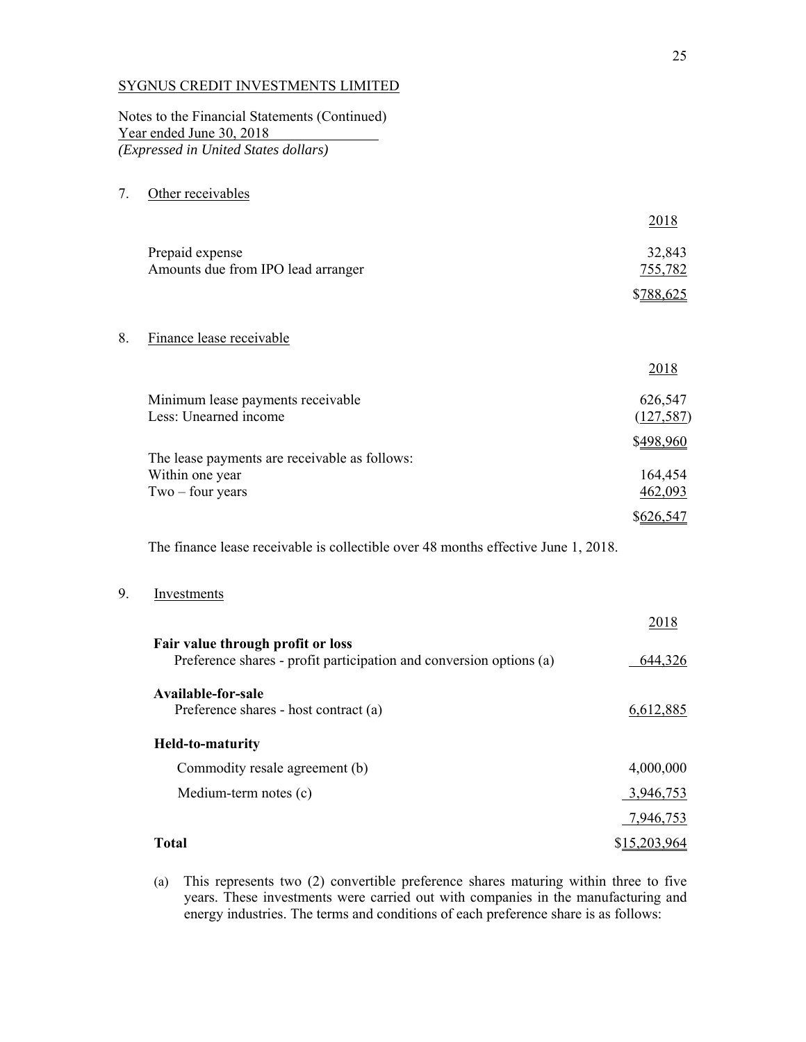Notes to the Financial Statements (Continued) Year ended June 30, 2018 *(Expressed in United States dollars)* 

# 7. Other receivables

|    |                                               | 2018       |
|----|-----------------------------------------------|------------|
|    | Prepaid expense                               | 32,843     |
|    | Amounts due from IPO lead arranger            | 755,782    |
|    |                                               | \$788,625  |
|    |                                               |            |
| 8. | Finance lease receivable                      |            |
|    |                                               | 2018       |
|    | Minimum lease payments receivable             | 626,547    |
|    | Less: Unearned income                         | (127, 587) |
|    |                                               | \$498,960  |
|    | The lease payments are receivable as follows: |            |
|    | Within one year                               | 164,454    |
|    | $Two-four years$                              | 462,093    |
|    |                                               | \$626,547  |

The finance lease receivable is collectible over 48 months effective June 1, 2018.

# 9. Investments

|                                                                                                          | 2018         |
|----------------------------------------------------------------------------------------------------------|--------------|
| Fair value through profit or loss<br>Preference shares - profit participation and conversion options (a) | 644.326      |
| Available-for-sale                                                                                       |              |
| Preference shares - host contract (a)                                                                    | 6,612,885    |
| Held-to-maturity                                                                                         |              |
| Commodity resale agreement (b)                                                                           | 4,000,000    |
| Medium-term notes (c)                                                                                    | 3,946,753    |
|                                                                                                          | 7,946,753    |
| Total                                                                                                    | \$15,203,964 |

(a) This represents two (2) convertible preference shares maturing within three to five years. These investments were carried out with companies in the manufacturing and energy industries. The terms and conditions of each preference share is as follows: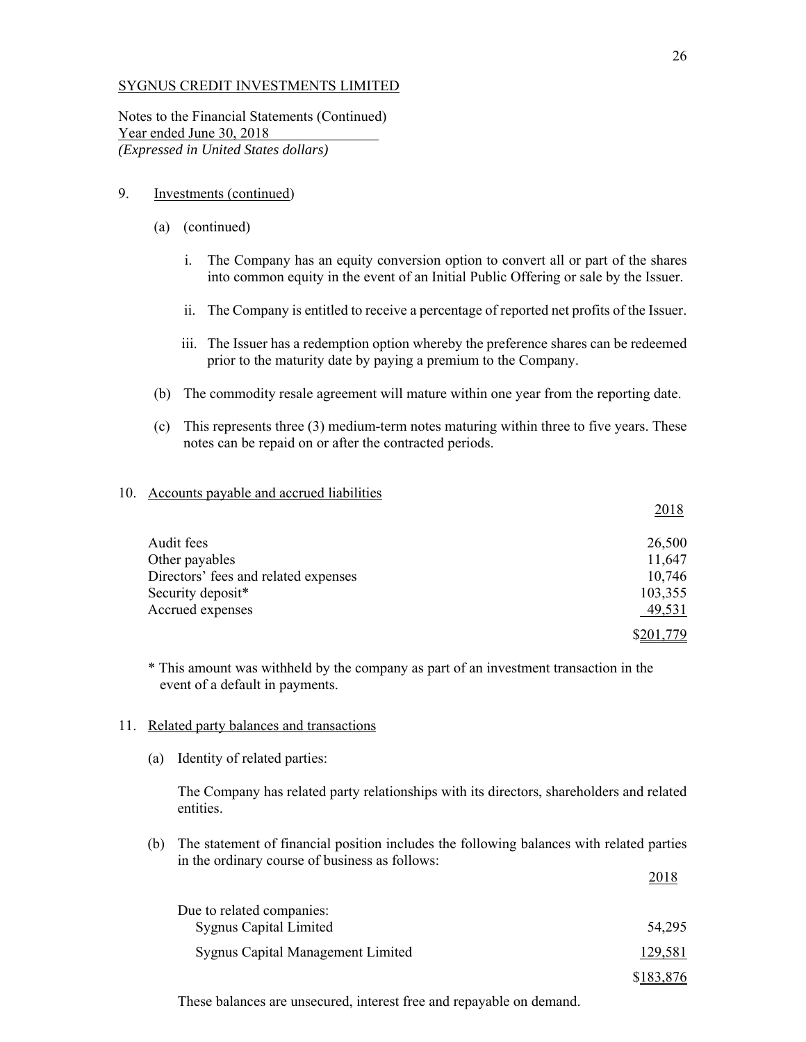Notes to the Financial Statements (Continued) Year ended June 30, 2018 *(Expressed in United States dollars)* 

#### 9. Investments (continued)

- (a) (continued)
	- i. The Company has an equity conversion option to convert all or part of the shares into common equity in the event of an Initial Public Offering or sale by the Issuer.
	- ii. The Company is entitled to receive a percentage of reported net profits of the Issuer.
	- iii. The Issuer has a redemption option whereby the preference shares can be redeemed prior to the maturity date by paying a premium to the Company.
- (b) The commodity resale agreement will mature within one year from the reporting date.
- (c) This represents three (3) medium-term notes maturing within three to five years. These notes can be repaid on or after the contracted periods.

#### 10. Accounts payable and accrued liabilities

|                                      | 2018      |
|--------------------------------------|-----------|
| Audit fees                           | 26,500    |
| Other payables                       | 11,647    |
| Directors' fees and related expenses | 10,746    |
| Security deposit*                    | 103,355   |
| Accrued expenses                     | 49,531    |
|                                      | \$201,779 |

\* This amount was withheld by the company as part of an investment transaction in the event of a default in payments.

#### 11. Related party balances and transactions

(a) Identity of related parties:

 The Company has related party relationships with its directors, shareholders and related entities.

(b) The statement of financial position includes the following balances with related parties in the ordinary course of business as follows:  $2018$ 

|                                   | -2018     |
|-----------------------------------|-----------|
| Due to related companies:         |           |
| <b>Sygnus Capital Limited</b>     | 54,295    |
| Sygnus Capital Management Limited | 129,581   |
|                                   | \$183,876 |

These balances are unsecured, interest free and repayable on demand.

 $2018$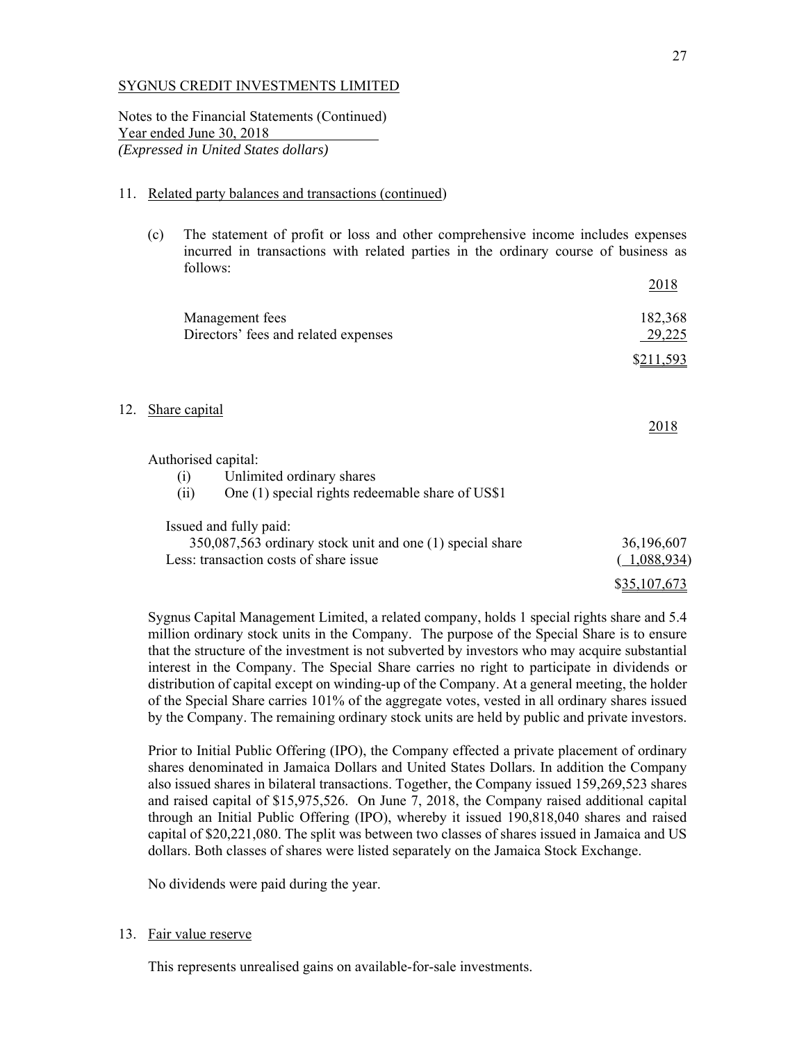Notes to the Financial Statements (Continued) Year ended June 30, 2018 *(Expressed in United States dollars)* 

#### 11. Related party balances and transactions (continued)

(c) The statement of profit or loss and other comprehensive income includes expenses incurred in transactions with related parties in the ordinary course of business as follows:

|                                                           | 2018         |
|-----------------------------------------------------------|--------------|
| Management fees                                           | 182,368      |
| Directors' fees and related expenses                      | 29,225       |
|                                                           |              |
|                                                           |              |
| Share capital                                             |              |
|                                                           | 2018         |
| Authorised capital:                                       |              |
| Unlimited ordinary shares<br>(i)                          |              |
| One (1) special rights redeemable share of US\$1<br>(i)   |              |
| Issued and fully paid:                                    |              |
| 350,087,563 ordinary stock unit and one (1) special share | 36,196,607   |
| Less: transaction costs of share issue                    | 1,088,934    |
|                                                           | \$35,107,673 |

Sygnus Capital Management Limited, a related company, holds 1 special rights share and 5.4 million ordinary stock units in the Company. The purpose of the Special Share is to ensure that the structure of the investment is not subverted by investors who may acquire substantial interest in the Company. The Special Share carries no right to participate in dividends or distribution of capital except on winding-up of the Company. At a general meeting, the holder of the Special Share carries 101% of the aggregate votes, vested in all ordinary shares issued by the Company. The remaining ordinary stock units are held by public and private investors.

Prior to Initial Public Offering (IPO), the Company effected a private placement of ordinary shares denominated in Jamaica Dollars and United States Dollars. In addition the Company also issued shares in bilateral transactions. Together, the Company issued 159,269,523 shares and raised capital of \$15,975,526. On June 7, 2018, the Company raised additional capital through an Initial Public Offering (IPO), whereby it issued 190,818,040 shares and raised capital of \$20,221,080. The split was between two classes of shares issued in Jamaica and US dollars. Both classes of shares were listed separately on the Jamaica Stock Exchange.

No dividends were paid during the year.

#### 13. Fair value reserve

 $12.$ 

This represents unrealised gains on available-for-sale investments.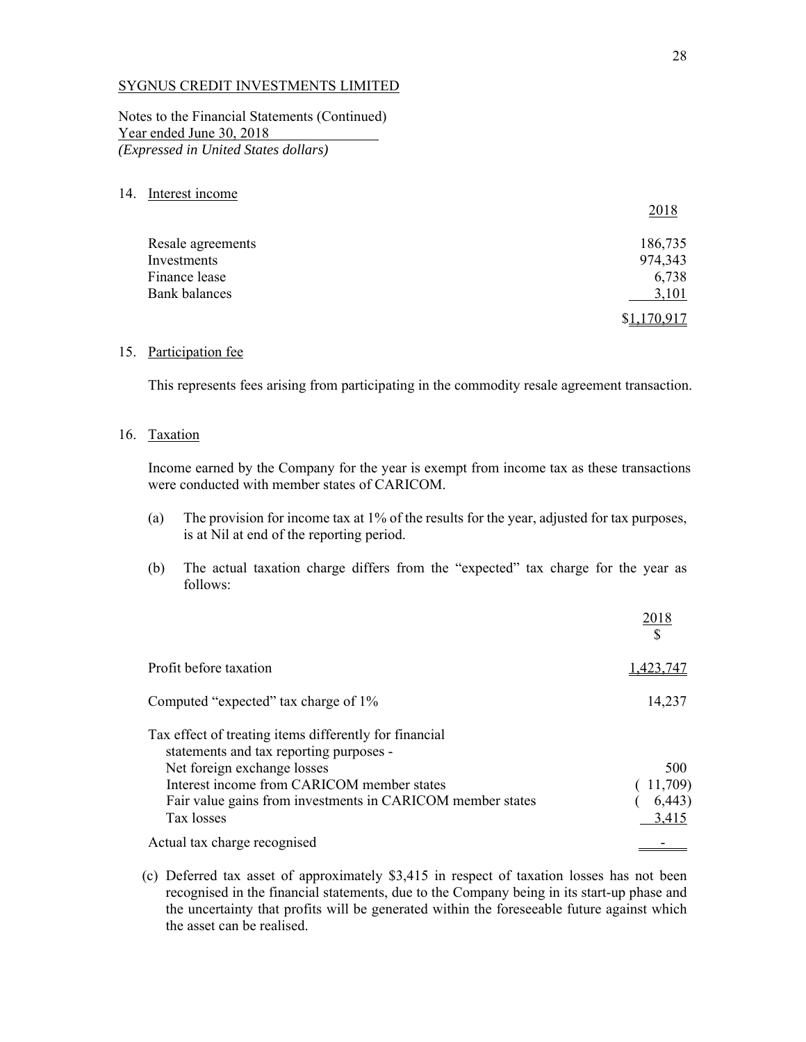Notes to the Financial Statements (Continued) Year ended June 30, 2018 *(Expressed in United States dollars)* 

#### 14. Interest income

|                      | 2010    |
|----------------------|---------|
| Resale agreements    | 186,735 |
| Investments          | 974,343 |
| Finance lease        | 6,738   |
| <b>Bank</b> balances | 3,101   |
|                      |         |

## 15. Participation fee

This represents fees arising from participating in the commodity resale agreement transaction.

# 16. Taxation

Income earned by the Company for the year is exempt from income tax as these transactions were conducted with member states of CARICOM.

- (a) The provision for income tax at 1% of the results for the year, adjusted for tax purposes, is at Nil at end of the reporting period.
- (b) The actual taxation charge differs from the "expected" tax charge for the year as follows:

|                                                                        | 2018    |
|------------------------------------------------------------------------|---------|
| Profit before taxation                                                 |         |
| Computed "expected" tax charge of 1%                                   | 14,237  |
| Tax effect of treating items differently for financial                 |         |
| statements and tax reporting purposes -<br>Net foreign exchange losses | 500     |
| Interest income from CARICOM member states                             | 11,709) |
| Fair value gains from investments in CARICOM member states             | 6,443)  |
| Tax losses                                                             | 3.415   |
| Actual tax charge recognised                                           |         |

(c) Deferred tax asset of approximately \$3,415 in respect of taxation losses has not been recognised in the financial statements, due to the Company being in its start-up phase and the uncertainty that profits will be generated within the foreseeable future against which the asset can be realised.

 $2010$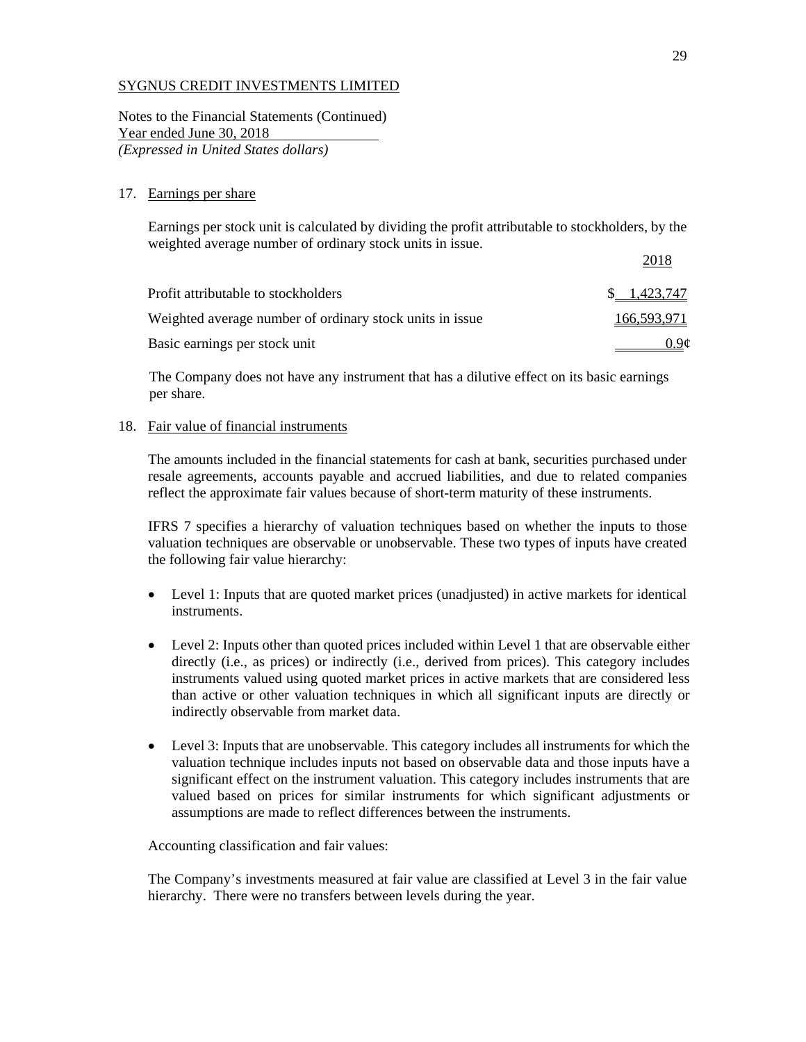Notes to the Financial Statements (Continued) Year ended June 30, 2018 *(Expressed in United States dollars)* 

## 17. Earnings per share

Earnings per stock unit is calculated by dividing the profit attributable to stockholders, by the weighted average number of ordinary stock units in issue. 2018

| Profit attributable to stockholders                      | \$ 1.423,747     |
|----------------------------------------------------------|------------------|
| Weighted average number of ordinary stock units in issue | 166,593,971      |
| Basic earnings per stock unit                            | 0.9 <sub>c</sub> |

The Company does not have any instrument that has a dilutive effect on its basic earnings per share.

# 18. Fair value of financial instruments

The amounts included in the financial statements for cash at bank, securities purchased under resale agreements, accounts payable and accrued liabilities, and due to related companies reflect the approximate fair values because of short-term maturity of these instruments.

IFRS 7 specifies a hierarchy of valuation techniques based on whether the inputs to those valuation techniques are observable or unobservable. These two types of inputs have created the following fair value hierarchy:

- Level 1: Inputs that are quoted market prices (unadjusted) in active markets for identical instruments.
- Level 2: Inputs other than quoted prices included within Level 1 that are observable either directly (i.e., as prices) or indirectly (i.e., derived from prices). This category includes instruments valued using quoted market prices in active markets that are considered less than active or other valuation techniques in which all significant inputs are directly or indirectly observable from market data.
- Level 3: Inputs that are unobservable. This category includes all instruments for which the valuation technique includes inputs not based on observable data and those inputs have a significant effect on the instrument valuation. This category includes instruments that are valued based on prices for similar instruments for which significant adjustments or assumptions are made to reflect differences between the instruments.

Accounting classification and fair values:

The Company's investments measured at fair value are classified at Level 3 in the fair value hierarchy. There were no transfers between levels during the year.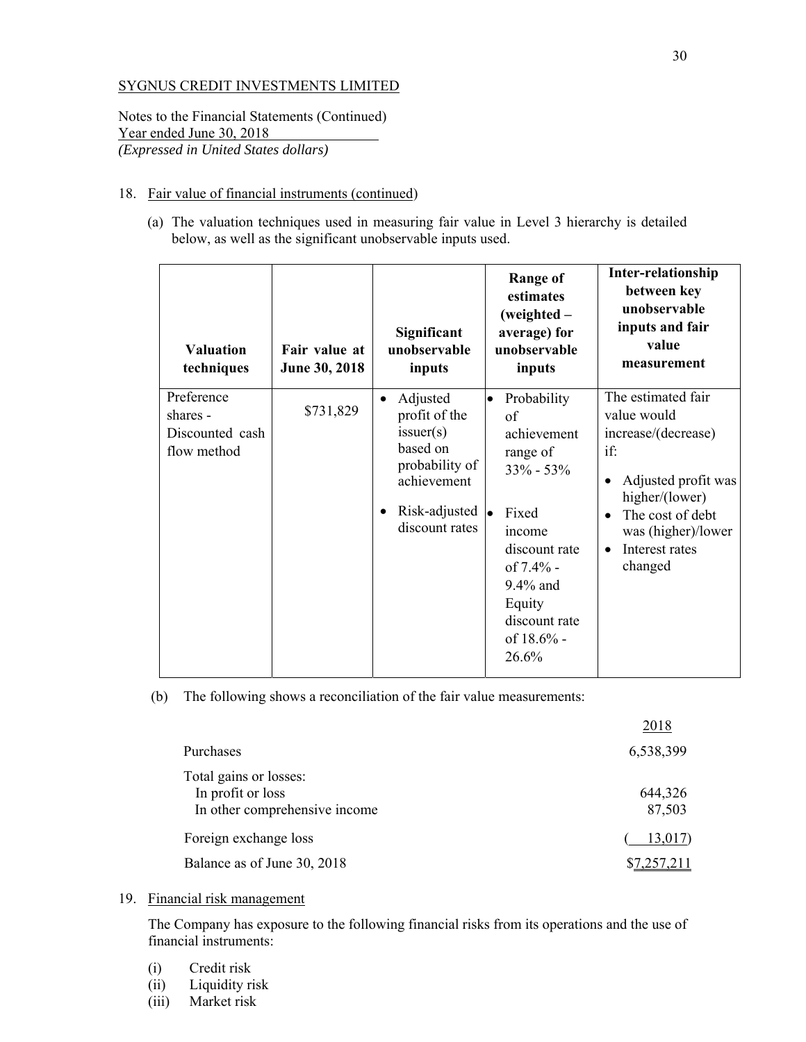Notes to the Financial Statements (Continued) Year ended June 30, 2018 *(Expressed in United States dollars)* 

# 18. Fair value of financial instruments (continued)

(a) The valuation techniques used in measuring fair value in Level 3 hierarchy is detailed below, as well as the significant unobservable inputs used.

| <b>Valuation</b><br>techniques                           | Fair value at<br><b>June 30, 2018</b> | Significant<br>unobservable<br>inputs                                                                                                                        | <b>Range of</b><br>estimates<br>(weighted –<br>average) for<br>unobservable<br>inputs                                                                                                              | Inter-relationship<br>between key<br>unobservable<br>inputs and fair<br>value<br>measurement                                                                                                                           |
|----------------------------------------------------------|---------------------------------------|--------------------------------------------------------------------------------------------------------------------------------------------------------------|----------------------------------------------------------------------------------------------------------------------------------------------------------------------------------------------------|------------------------------------------------------------------------------------------------------------------------------------------------------------------------------------------------------------------------|
| Preference<br>shares -<br>Discounted cash<br>flow method | \$731,829                             | Adjusted<br>$\bullet$<br>profit of the<br>is <sub>sup</sub> (s)<br>based on<br>probability of<br>achievement<br>Risk-adjusted<br>$\bullet$<br>discount rates | Probability<br>$\bullet$<br>of<br>achievement<br>range of<br>$33\% - 53\%$<br>Fixed<br>income<br>discount rate<br>of $7.4\%$ -<br>$9.4\%$ and<br>Equity<br>discount rate<br>of $18.6\%$ -<br>26.6% | The estimated fair<br>value would<br>increase/(decrease)<br>if:<br>Adjusted profit was<br>$\bullet$<br>higher/(lower)<br>The cost of debt<br>$\bullet$<br>was (higher)/lower<br>Interest rates<br>$\bullet$<br>changed |

(b) The following shows a reconciliation of the fair value measurements:

|                                                                              | 2018              |
|------------------------------------------------------------------------------|-------------------|
| Purchases                                                                    | 6,538,399         |
| Total gains or losses:<br>In profit or loss<br>In other comprehensive income | 644,326<br>87,503 |
| Foreign exchange loss                                                        | 13,017)           |
| Balance as of June 30, 2018                                                  |                   |

## 19. Financial risk management

The Company has exposure to the following financial risks from its operations and the use of financial instruments:

- (i) Credit risk
- (ii) Liquidity risk
- (iii) Market risk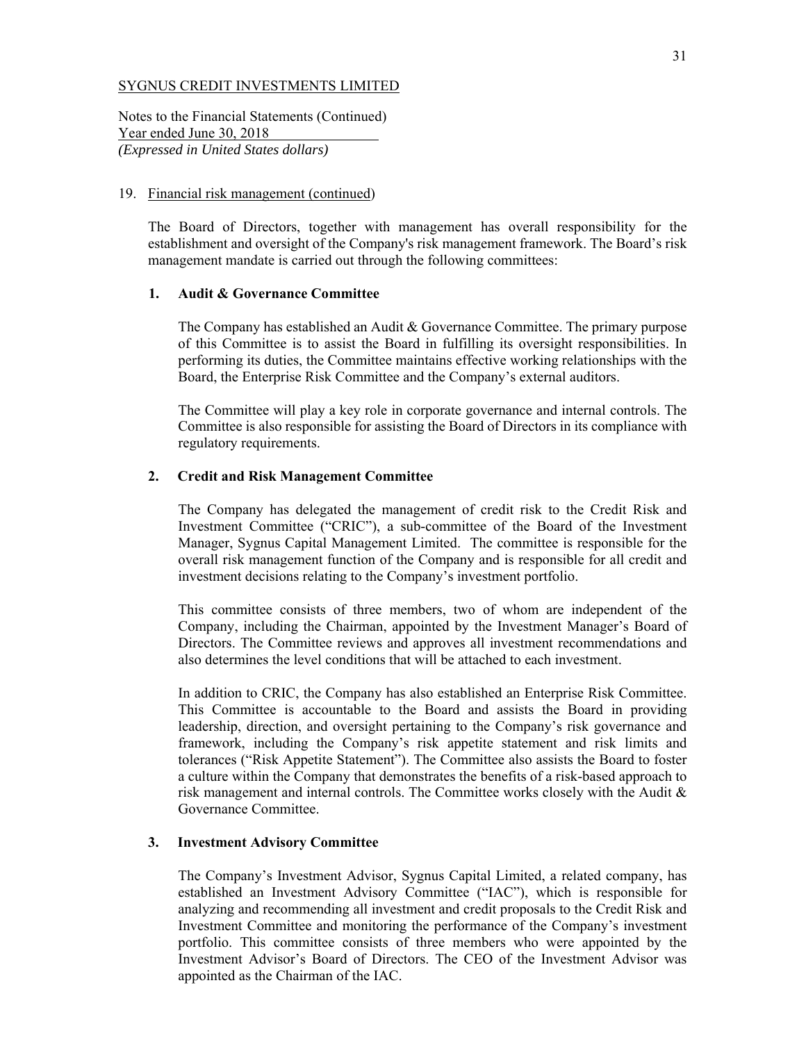Notes to the Financial Statements (Continued) Year ended June 30, 2018 *(Expressed in United States dollars)* 

#### 19. Financial risk management (continued)

The Board of Directors, together with management has overall responsibility for the establishment and oversight of the Company's risk management framework. The Board's risk management mandate is carried out through the following committees:

## **1. Audit & Governance Committee**

The Company has established an Audit & Governance Committee. The primary purpose of this Committee is to assist the Board in fulfilling its oversight responsibilities. In performing its duties, the Committee maintains effective working relationships with the Board, the Enterprise Risk Committee and the Company's external auditors.

The Committee will play a key role in corporate governance and internal controls. The Committee is also responsible for assisting the Board of Directors in its compliance with regulatory requirements.

# **2. Credit and Risk Management Committee**

The Company has delegated the management of credit risk to the Credit Risk and Investment Committee ("CRIC"), a sub-committee of the Board of the Investment Manager, Sygnus Capital Management Limited. The committee is responsible for the overall risk management function of the Company and is responsible for all credit and investment decisions relating to the Company's investment portfolio.

This committee consists of three members, two of whom are independent of the Company, including the Chairman, appointed by the Investment Manager's Board of Directors. The Committee reviews and approves all investment recommendations and also determines the level conditions that will be attached to each investment.

In addition to CRIC, the Company has also established an Enterprise Risk Committee. This Committee is accountable to the Board and assists the Board in providing leadership, direction, and oversight pertaining to the Company's risk governance and framework, including the Company's risk appetite statement and risk limits and tolerances ("Risk Appetite Statement"). The Committee also assists the Board to foster a culture within the Company that demonstrates the benefits of a risk-based approach to risk management and internal controls. The Committee works closely with the Audit & Governance Committee.

## **3. Investment Advisory Committee**

The Company's Investment Advisor, Sygnus Capital Limited, a related company, has established an Investment Advisory Committee ("IAC"), which is responsible for analyzing and recommending all investment and credit proposals to the Credit Risk and Investment Committee and monitoring the performance of the Company's investment portfolio. This committee consists of three members who were appointed by the Investment Advisor's Board of Directors. The CEO of the Investment Advisor was appointed as the Chairman of the IAC.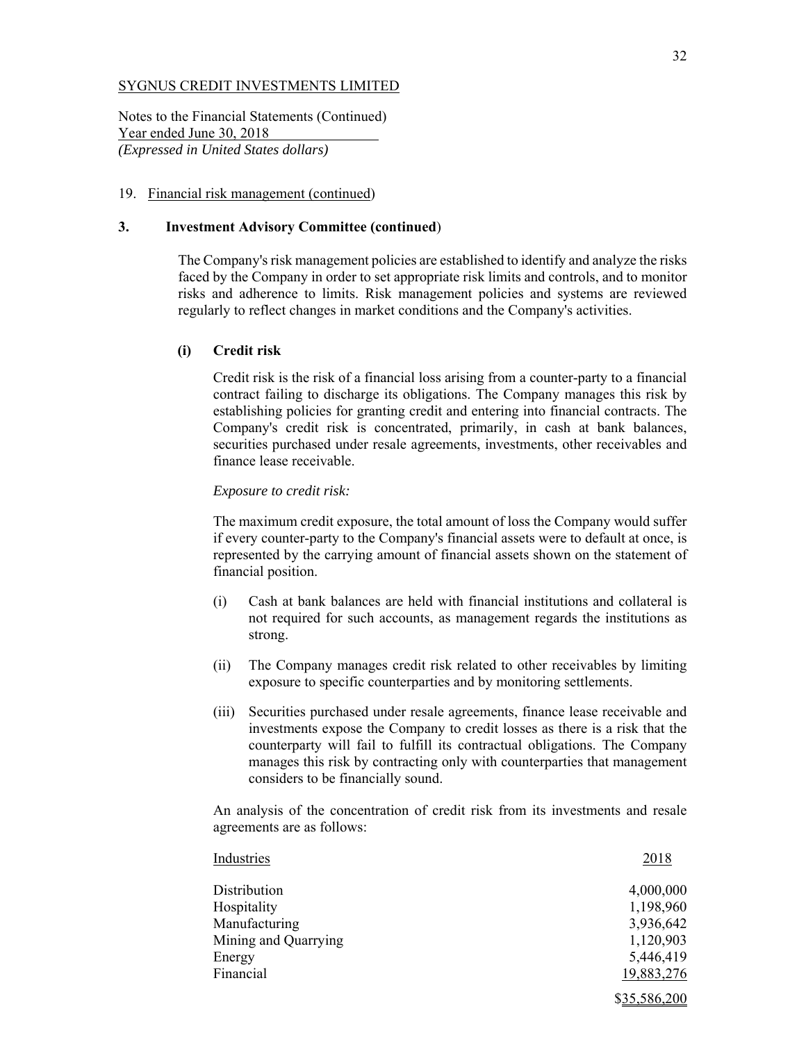Notes to the Financial Statements (Continued) Year ended June 30, 2018 *(Expressed in United States dollars)* 

#### 19. Financial risk management (continued)

## **3. Investment Advisory Committee (continued**)

The Company's risk management policies are established to identify and analyze the risks faced by the Company in order to set appropriate risk limits and controls, and to monitor risks and adherence to limits. Risk management policies and systems are reviewed regularly to reflect changes in market conditions and the Company's activities.

#### **(i) Credit risk**

Credit risk is the risk of a financial loss arising from a counter-party to a financial contract failing to discharge its obligations. The Company manages this risk by establishing policies for granting credit and entering into financial contracts. The Company's credit risk is concentrated, primarily, in cash at bank balances, securities purchased under resale agreements, investments, other receivables and finance lease receivable.

## *Exposure to credit risk:*

The maximum credit exposure, the total amount of loss the Company would suffer if every counter-party to the Company's financial assets were to default at once, is represented by the carrying amount of financial assets shown on the statement of financial position.

- (i) Cash at bank balances are held with financial institutions and collateral is not required for such accounts, as management regards the institutions as strong.
- (ii) The Company manages credit risk related to other receivables by limiting exposure to specific counterparties and by monitoring settlements.
- (iii) Securities purchased under resale agreements, finance lease receivable and investments expose the Company to credit losses as there is a risk that the counterparty will fail to fulfill its contractual obligations. The Company manages this risk by contracting only with counterparties that management considers to be financially sound.

An analysis of the concentration of credit risk from its investments and resale agreements are as follows:

| Industries           | 2018         |
|----------------------|--------------|
| Distribution         | 4,000,000    |
| Hospitality          | 1,198,960    |
| Manufacturing        | 3,936,642    |
| Mining and Quarrying | 1,120,903    |
| Energy               | 5,446,419    |
| Financial            | 19,883,276   |
|                      | \$35,586,200 |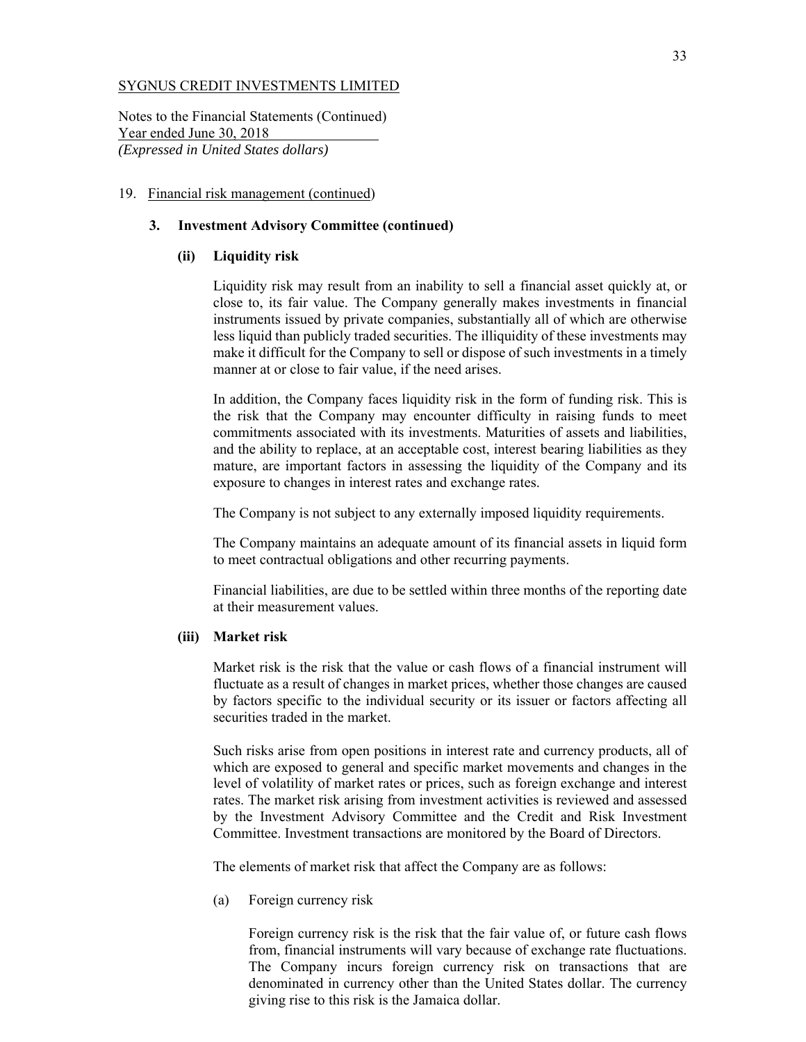Notes to the Financial Statements (Continued) Year ended June 30, 2018 *(Expressed in United States dollars)* 

#### 19. Financial risk management (continued)

#### **3. Investment Advisory Committee (continued)**

#### **(ii) Liquidity risk**

Liquidity risk may result from an inability to sell a financial asset quickly at, or close to, its fair value. The Company generally makes investments in financial instruments issued by private companies, substantially all of which are otherwise less liquid than publicly traded securities. The illiquidity of these investments may make it difficult for the Company to sell or dispose of such investments in a timely manner at or close to fair value, if the need arises.

In addition, the Company faces liquidity risk in the form of funding risk. This is the risk that the Company may encounter difficulty in raising funds to meet commitments associated with its investments. Maturities of assets and liabilities, and the ability to replace, at an acceptable cost, interest bearing liabilities as they mature, are important factors in assessing the liquidity of the Company and its exposure to changes in interest rates and exchange rates.

The Company is not subject to any externally imposed liquidity requirements.

The Company maintains an adequate amount of its financial assets in liquid form to meet contractual obligations and other recurring payments.

Financial liabilities, are due to be settled within three months of the reporting date at their measurement values.

# **(iii) Market risk**

Market risk is the risk that the value or cash flows of a financial instrument will fluctuate as a result of changes in market prices, whether those changes are caused by factors specific to the individual security or its issuer or factors affecting all securities traded in the market.

Such risks arise from open positions in interest rate and currency products, all of which are exposed to general and specific market movements and changes in the level of volatility of market rates or prices, such as foreign exchange and interest rates. The market risk arising from investment activities is reviewed and assessed by the Investment Advisory Committee and the Credit and Risk Investment Committee. Investment transactions are monitored by the Board of Directors.

The elements of market risk that affect the Company are as follows:

(a) Foreign currency risk

Foreign currency risk is the risk that the fair value of, or future cash flows from, financial instruments will vary because of exchange rate fluctuations. The Company incurs foreign currency risk on transactions that are denominated in currency other than the United States dollar. The currency giving rise to this risk is the Jamaica dollar.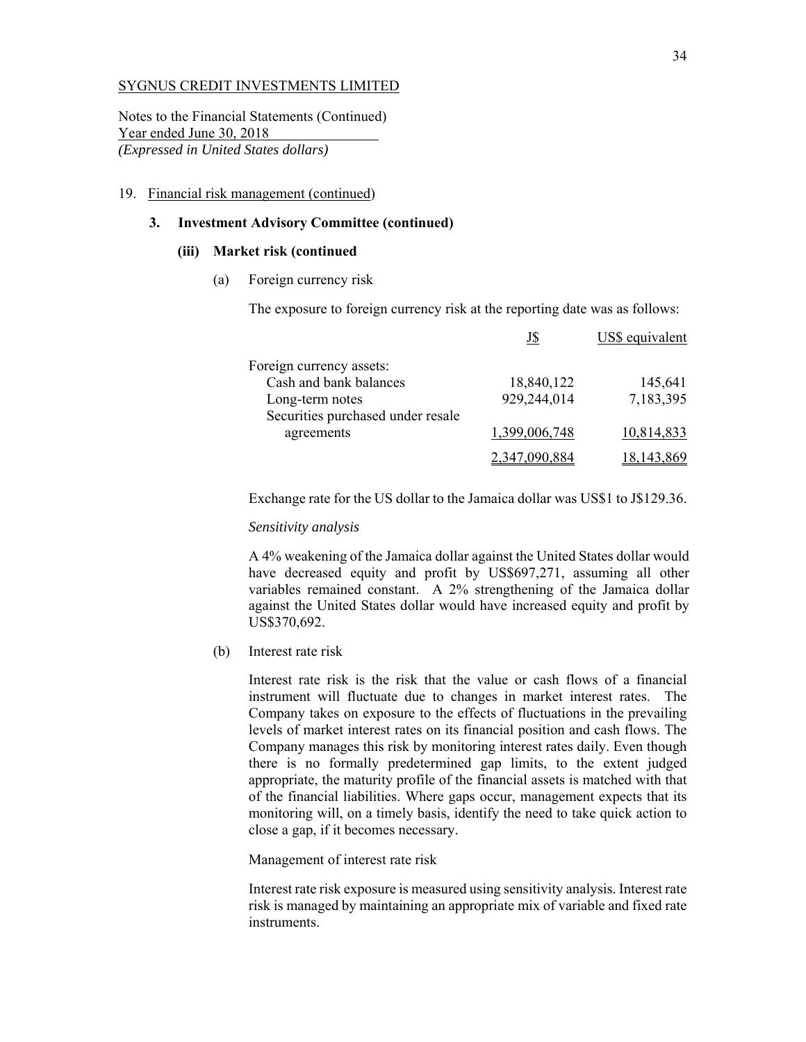Notes to the Financial Statements (Continued) Year ended June 30, 2018 *(Expressed in United States dollars)* 

#### 19. Financial risk management (continued)

## **3. Investment Advisory Committee (continued)**

#### **(iii) Market risk (continued**

(a) Foreign currency risk

The exposure to foreign currency risk at the reporting date was as follows:

|                                   |               | US\$ equivalent |
|-----------------------------------|---------------|-----------------|
| Foreign currency assets:          |               |                 |
| Cash and bank balances            | 18,840,122    | 145,641         |
| Long-term notes                   | 929,244,014   | 7,183,395       |
| Securities purchased under resale |               |                 |
| agreements                        | 1,399,006,748 | 10,814,833      |
|                                   | 2,347,090,884 | 18,143,869      |

Exchange rate for the US dollar to the Jamaica dollar was US\$1 to J\$129.36.

## *Sensitivity analysis*

A 4% weakening of the Jamaica dollar against the United States dollar would have decreased equity and profit by US\$697,271, assuming all other variables remained constant. A 2% strengthening of the Jamaica dollar against the United States dollar would have increased equity and profit by US\$370,692.

(b) Interest rate risk

Interest rate risk is the risk that the value or cash flows of a financial instrument will fluctuate due to changes in market interest rates. The Company takes on exposure to the effects of fluctuations in the prevailing levels of market interest rates on its financial position and cash flows. The Company manages this risk by monitoring interest rates daily. Even though there is no formally predetermined gap limits, to the extent judged appropriate, the maturity profile of the financial assets is matched with that of the financial liabilities. Where gaps occur, management expects that its monitoring will, on a timely basis, identify the need to take quick action to close a gap, if it becomes necessary.

Management of interest rate risk

Interest rate risk exposure is measured using sensitivity analysis. Interest rate risk is managed by maintaining an appropriate mix of variable and fixed rate instruments.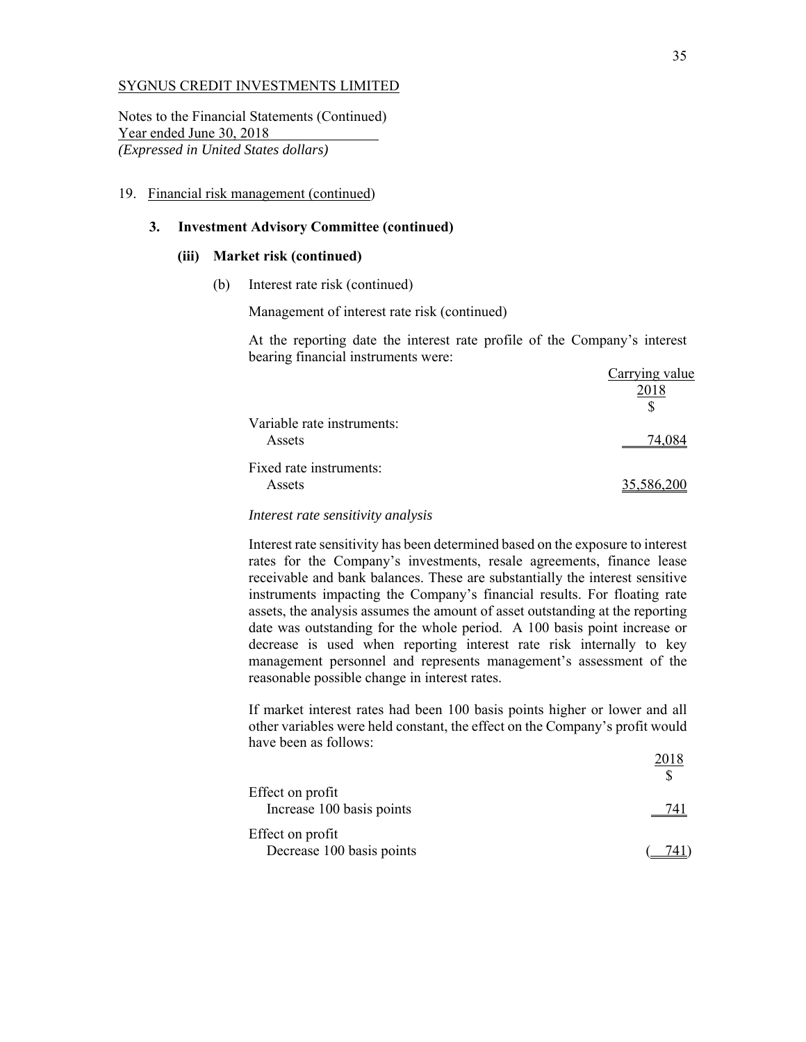Notes to the Financial Statements (Continued) Year ended June 30, 2018 *(Expressed in United States dollars)* 

# 19. Financial risk management (continued)

# **3. Investment Advisory Committee (continued)**

#### **(iii) Market risk (continued)**

(b) Interest rate risk (continued)

Management of interest rate risk (continued)

At the reporting date the interest rate profile of the Company's interest bearing financial instruments were:

|                            | Carrying value |
|----------------------------|----------------|
|                            |                |
|                            |                |
| Variable rate instruments: |                |
| Assets                     |                |
| Fixed rate instruments:    |                |
| Assets                     | 35,586,200     |

#### *Interest rate sensitivity analysis*

Interest rate sensitivity has been determined based on the exposure to interest rates for the Company's investments, resale agreements, finance lease receivable and bank balances. These are substantially the interest sensitive instruments impacting the Company's financial results. For floating rate assets, the analysis assumes the amount of asset outstanding at the reporting date was outstanding for the whole period. A 100 basis point increase or decrease is used when reporting interest rate risk internally to key management personnel and represents management's assessment of the reasonable possible change in interest rates.

If market interest rates had been 100 basis points higher or lower and all other variables were held constant, the effect on the Company's profit would have been as follows:

| Effect on profit<br>Increase 100 basis points |  |
|-----------------------------------------------|--|
| Effect on profit<br>Decrease 100 basis points |  |